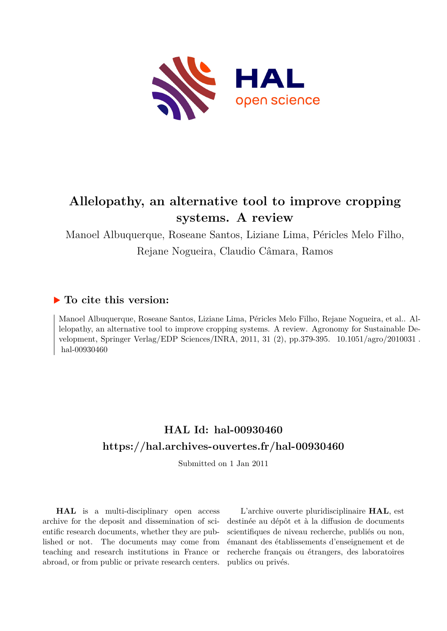

# **Allelopathy, an alternative tool to improve cropping systems. A review**

Manoel Albuquerque, Roseane Santos, Liziane Lima, Péricles Melo Filho, Rejane Nogueira, Claudio Câmara, Ramos

## **To cite this version:**

Manoel Albuquerque, Roseane Santos, Liziane Lima, Péricles Melo Filho, Rejane Nogueira, et al.. Allelopathy, an alternative tool to improve cropping systems. A review. Agronomy for Sustainable Development, Springer Verlag/EDP Sciences/INRA, 2011, 31 (2), pp.379-395. 10.1051/agro/2010031. hal-00930460

## **HAL Id: hal-00930460 <https://hal.archives-ouvertes.fr/hal-00930460>**

Submitted on 1 Jan 2011

**HAL** is a multi-disciplinary open access archive for the deposit and dissemination of scientific research documents, whether they are published or not. The documents may come from teaching and research institutions in France or abroad, or from public or private research centers.

L'archive ouverte pluridisciplinaire **HAL**, est destinée au dépôt et à la diffusion de documents scientifiques de niveau recherche, publiés ou non, émanant des établissements d'enseignement et de recherche français ou étrangers, des laboratoires publics ou privés.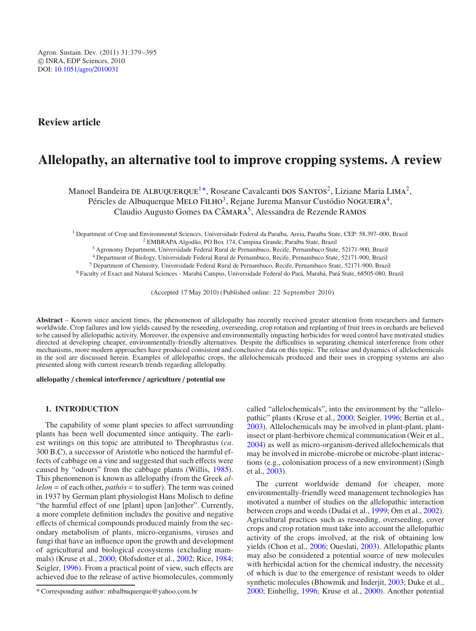-c INRA, EDP Sciences, 2010 DOI: 10.1051/agro/[2010031](http://dx.doi.org/10.1051/agro/2010031) Agron. Sustain. Dev. (2011) 31:379-395

## **Review article**

## **Allelopathy, an alternative tool to improve cropping systems. A review**

Manoel Bandeira DE ALBUQUERQUE<sup>1\*</sup>, Roseane Cavalcanti DOS SANTOS<sup>2</sup>, Liziane Maria LIMA<sup>2</sup>, Péricles de Albuquerque MELO FILHO<sup>3</sup>, Rejane Jurema Mansur Custódio NOGUEIRA<sup>4</sup>, Claudio Augusto Gomes DA CÂMARA<sup>5</sup>, Alessandra de Rezende RAMOS

<sup>1</sup> Department of Crop and Environmental Sciences, Universidade Federal da Paraíba, Areia, Paraíba State, CEP: 58.397–000, Brazil <sup>2</sup> EMBRAPA Algodão, PO Box 174, Campina Grande, Paraíba State, Brazil

<sup>3</sup> Agronomy Department, Universidade Federal Rural de Pernambuco, Recife, Pernambuco State, 52171-900, Brazil

<sup>4</sup> Department of Biology, Universidade Federal Rural de Pernambuco, Recife, Pernambuco State, 52171-900, Brazil

<sup>5</sup> Department of Chemistry, Universidade Federal Rural de Pernambuco, Recife, Pernambuco State, 52171-900, Brazil

<sup>6</sup> Faculty of Exact and Natural Sciences - Marabá Campus, Universidade Federal do Pará, Marabá, Pará State, 68505-080, Brazil

(Accepted 17 May 2010) (Published online: 22 September 2010)

**Abstract** – Known since ancient times, the phenomenon of allelopathy has recently received greater attention from researchers and farmers worldwide. Crop failures and low yields caused by the reseeding, overseeding, crop rotation and replanting of fruit trees in orchards are believed to be caused by allelopathic activity. Moreover, the expensive and environmentally impacting herbicides for weed control have motivated studies directed at developing cheaper, environmentally-friendly alternatives. Despite the difficulties in separating chemical interference from other mechanisms, more modern approaches have produced consistent and conclusive data on this topic. The release and dynamics of allelochemicals in the soil are discussed herein. Examples of allelopathic crops, the allelochemicals produced and their uses in cropping systems are also presented along with current research trends regarding allelopathy.

**allelopathy** / **chemical interference** / **agriculture** / **potential use**

#### **1. INTRODUCTION**

The capability of some plant species to affect surrounding plants has been well documented since antiquity. The earliest writings on this topic are attributed to Theophrastus (*ca*. 300 B.C), a successor of Aristotle who noticed the harmful effects of cabbage on a vine and suggested that such effects were caused by "odours" from the cabbage plants (Willis, 1985). This phenomenon is known as allelopathy (from the Greek *allelon* = of each other, *pathós* = to suffer). The term was coined in 1937 by German plant physiologist Hans Molisch to define "the harmful effect of one [plant] upon [an]other". Currently, a more complete definition includes the positive and negative effects of chemical compounds produced mainly from the secondary metabolism of plants, micro-organisms, viruses and fungi that have an influence upon the growth and development of agricultural and biological ecosystems (excluding mammals) (Kruse et al., 2000; Olofsdotter et al., 2002; Rice, 1984; Seigler, 1996). From a practical point of view, such effects are achieved due to the release of active biomolecules, commonly

called "allelochemicals", into the environment by the "allelopathic" plants (Kruse et al., 2000; Seigler, 1996; Bertin et al., 2003). Allelochemicals may be involved in plant-plant, plantinsect or plant-herbivore chemical communication (Weir et al., 2004) as well as micro-organism-derived allelochemicals that may be involved in microbe-microbe or microbe-plant interactions (e.g., colonisation process of a new environment) (Singh et al., 2003).

The current worldwide demand for cheaper, more environmentally-friendly weed management technologies has motivated a number of studies on the allelopathic interaction between crops and weeds (Dudai et al., 1999; Om et al., 2002). Agricultural practices such as reseeding, overseeding, cover crops and crop rotation must take into account the allelopathic activity of the crops involved, at the risk of obtaining low yields (Chon et al., 2006; Oueslati, 2003). Allelopathic plants may also be considered a potential source of new molecules with herbicidal action for the chemical industry, the necessity of which is due to the emergence of resistant weeds to older synthetic molecules (Bhowmik and Inderjit, 2003; Duke et al., [2000; Einhellig](http://www.edpsciences.org), 1996; Kruse et al., 2000). Another potential

<sup>\*</sup> Corresponding author: mbalbuquerque@yahoo.com.br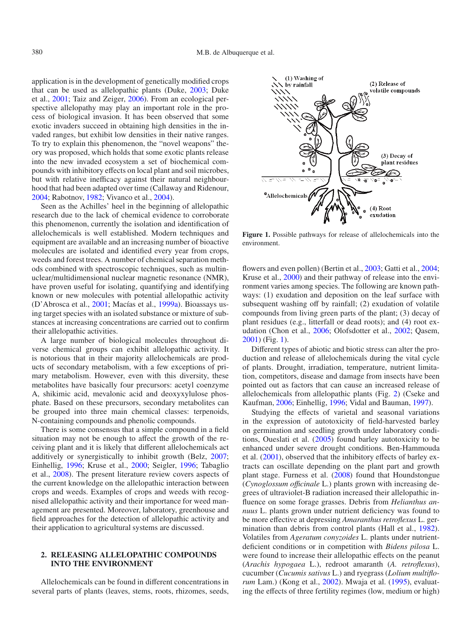application is in the development of genetically modified crops that can be used as allelopathic plants (Duke, 2003; Duke et al., 2001; Taiz and Zeiger, 2006). From an ecological perspective allelopathy may play an important role in the process of biological invasion. It has been observed that some exotic invaders succeed in obtaining high densities in the invaded ranges, but exhibit low densities in their native ranges. To try to explain this phenomenon, the "novel weapons" theory was proposed, which holds that some exotic plants release into the new invaded ecosystem a set of biochemical compounds with inhibitory effects on local plant and soil microbes, but with relative inefficacy against their natural neighbourhood that had been adapted over time (Callaway and Ridenour, 2004; Rabotnov, 1982; Vivanco et al., 2004).

Seen as the Achilles' heel in the beginning of allelopathic research due to the lack of chemical evidence to corroborate this phenomenon, currently the isolation and identification of allelochemicals is well established. Modern techniques and equipment are available and an increasing number of bioactive molecules are isolated and identified every year from crops, weeds and forest trees. A number of chemical separation methods combined with spectroscopic techniques, such as multinuclear/multidimensional nuclear magnetic resonance (NMR), have proven useful for isolating, quantifying and identifying known or new molecules with potential allelopathic activity (D'Abrosca et al., 2001; Macías et al., 1999a). Bioassays using target species with an isolated substance or mixture of substances at increasing concentrations are carried out to confirm their allelopathic activities.

A large number of biological molecules throughout diverse chemical groups can exhibit allelopathic activity. It is notorious that in their majority allelochemicals are products of secondary metabolism, with a few exceptions of primary metabolism. However, even with this diversity, these metabolites have basically four precursors: acetyl coenzyme A, shikimic acid, mevalonic acid and deoxyxylulose phosphate. Based on these precursors, secondary metabolites can be grouped into three main chemical classes: terpenoids, N-containing compounds and phenolic compounds.

There is some consensus that a simple compound in a field situation may not be enough to affect the growth of the receiving plant and it is likely that different allelochemicals act additively or synergistically to inhibit growth (Belz, 2007; Einhellig, 1996; Kruse et al., 2000; Seigler, 1996; Tabaglio et al., 2008). The present literature review covers aspects of the current knowledge on the allelopathic interaction between crops and weeds. Examples of crops and weeds with recognised allelopathic activity and their importance for weed management are presented. Moreover, laboratory, greenhouse and field approaches for the detection of allelopathic activity and their application to agricultural systems are discussed.

## **2. RELEASING ALLELOPATHIC COMPOUNDS INTO THE ENVIRONMENT**

Allelochemicals can be found in different concentrations in several parts of plants (leaves, stems, roots, rhizomes, seeds,



**Figure 1.** Possible pathways for release of allelochemicals into the environment.

flowers and even pollen) (Bertin et al., 2003; Gatti et al., 2004; Kruse et al., 2000) and their pathway of release into the environment varies among species. The following are known pathways: (1) exudation and deposition on the leaf surface with subsequent washing off by rainfall; (2) exudation of volatile compounds from living green parts of the plant; (3) decay of plant residues (e.g., litterfall or dead roots); and (4) root exudation (Chon et al., 2006; Olofsdotter et al., 2002; Qasem, 2001) (Fig. 1).

Different types of abiotic and biotic stress can alter the production and release of allelochemicals during the vital cycle of plants. Drought, irradiation, temperature, nutrient limitation, competitors, disease and damage from insects have been pointed out as factors that can cause an increased release of allelochemicals from allelopathic plants (Fig. 2) (Cseke and Kaufman, 2006; Einhellig, 1996; Vidal and Bauman, 1997).

Studying the effects of varietal and seasonal variations in the expression of autotoxicity of field-harvested barley on germination and seedling growth under laboratory conditions, Oueslati et al. (2005) found barley autotoxicity to be enhanced under severe drought conditions. Ben-Hammouda et al. (2001), observed that the inhibitory effects of barley extracts can oscillate depending on the plant part and growth plant stage. Furness et al. (2008) found that Houndstongue (*Cynoglossum o*ffi*cinale* L.) plants grown with increasing degrees of ultraviolet-B radiation increased their allelopathic influence on some forage grasses. Debris from *Helianthus annuus* L. plants grown under nutrient deficiency was found to be more effective at depressing *Amaranthus retroflexus* L. germination than debris from control plants (Hall et al., 1982). Volatiles from *Ageratum conyzoides* L. plants under nutrientdeficient conditions or in competition with *Bidens pilosa* L. were found to increase their allelopathic effects on the peanut (*Arachis hypogaea* L.), redroot amaranth (*A. retroflexus*), cucumber (*Cucumis sativus* L.) and ryegrass (*Lolium multiflorum* Lam.) (Kong et al., 2002). Mwaja et al. (1995), evaluating the effects of three fertility regimes (low, medium or high)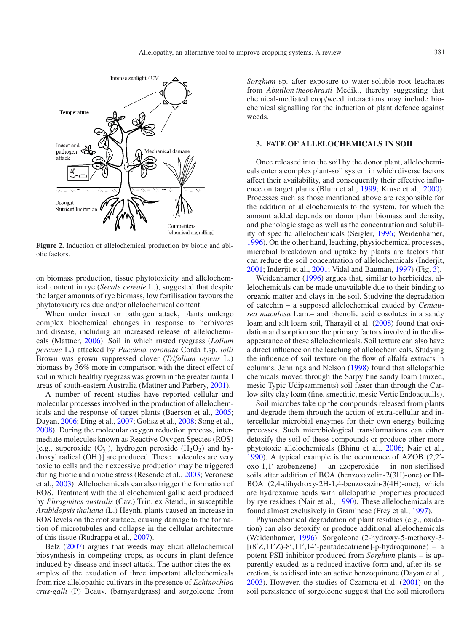

**Figure 2.** Induction of allelochemical production by biotic and abiotic factors.

on biomass production, tissue phytotoxicity and allelochemical content in rye (*Secale cereale* L.), suggested that despite the larger amounts of rye biomass, low fertilisation favours the phytotoxicity residue and/or allelochemical content.

When under insect or pathogen attack, plants undergo complex biochemical changes in response to herbivores and disease, including an increased release of allelochemicals (Mattner, 2006). Soil in which rusted ryegrass (*Lolium perenne* L.) attacked by *Puccinia coronata* Corda f.sp. *lolii* Brown was grown suppressed clover (*Trifolium repens* L.) biomass by 36% more in comparison with the direct effect of soil in which healthy ryegrass was grown in the greater rainfall areas of south-eastern Australia (Mattner and Parbery, 2001).

A number of recent studies have reported cellular and molecular processes involved in the production of allelochemicals and the response of target plants (Baerson et al., 2005; Dayan, 2006; Ding et al., 2007; Golisz et al., 2008; Song et al., 2008). During the molecular oxygen reduction process, intermediate molecules known as Reactive Oxygen Species (ROS) [e.g., superoxide  $(O_2^-)$ , hydrogen peroxide  $(H_2O_2)$  and hydroxyl radical (OH. )] are produced. These molecules are very toxic to cells and their excessive production may be triggered during biotic and abiotic stress (Resende et al., 2003; Veronese et al., 2003). Allelochemicals can also trigger the formation of ROS. Treatment with the allelochemical gallic acid produced by *Phragmites australis* (Cav.) Trin. ex Steud., in susceptible *Arabidopsis thaliana* (L.) Heynh. plants caused an increase in ROS levels on the root surface, causing damage to the formation of microtubules and collapse in the cellular architecture of this tissue (Rudrappa et al., 2007).

Belz (2007) argues that weeds may elicit allelochemical biosynthesis in competing crops, as occurs in plant defence induced by disease and insect attack. The author cites the examples of the exudation of three important allelochemicals from rice allelopathic cultivars in the presence of *Echinochloa crus-galli* (P) Beauv. (barnyardgrass) and sorgoleone from

*Sorghum* sp. after exposure to water-soluble root leachates from *Abutilon theophrasti* Medik., thereby suggesting that chemical-mediated crop/weed interactions may include biochemical signalling for the induction of plant defence against weeds.

#### **3. FATE OF ALLELOCHEMICALS IN SOIL**

Once released into the soil by the donor plant, allelochemicals enter a complex plant-soil system in which diverse factors affect their availability, and consequently their effective influence on target plants (Blum et al., 1999; Kruse et al., 2000). Processes such as those mentioned above are responsible for the addition of allelochemicals to the system, for which the amount added depends on donor plant biomass and density, and phenologic stage as well as the concentration and solubility of specific allelochemicals (Seigler, 1996; Weidenhamer, 1996). On the other hand, leaching, physiochemical processes, microbial breakdown and uptake by plants are factors that can reduce the soil concentration of allelochemicals (Inderjit, 2001; Inderjit et al., 2001; Vidal and Bauman, 1997) (Fig. 3).

Weidenhamer (1996) argues that, similar to herbicides, allelochemicals can be made unavailable due to their binding to organic matter and clays in the soil. Studying the degradation of catechin – a supposed allelochemical exuded by *Centaurea maculosa* Lam.– and phenolic acid cosolutes in a sandy loam and silt loam soil, Tharayil et al. (2008) found that oxidation and sorption are the primary factors involved in the disappearance of these allelochemicals. Soil texture can also have a direct influence on the leaching of allelochemicals. Studying the influence of soil texture on the flow of alfalfa extracts in columns, Jennings and Nelson (1998) found that allelopathic chemicals moved through the Sarpy fine sandy loam (mixed, mesic Typic Udipsamments) soil faster than through the Carlow silty clay loam (fine, smectitic, mesic Vertic Endoaquulls).

Soil microbes take up the compounds released from plants and degrade them through the action of extra-cellular and intercellular microbial enzymes for their own energy-building processes. Such microbiological transformations can either detoxify the soil of these compounds or produce other more phytotoxic allelochemicals (Bhinu et al., 2006; Nair et al., 1990). A typical example is the occurrence of AZOB (2,2 oxo-1,1 -azobenzene) – an azoperoxide – in non-sterilised soils after addition of BOA (benzoxazolin-2(3H)-one) or DI-BOA (2,4-dihydroxy-2H-1,4-benzoxazin-3(4H)-one), which are hydroxamic acids with allelopathic properties produced by rye residues (Nair et al., 1990). These allelochemicals are found almost exclusively in Gramineae (Frey et al., 1997).

Physiochemical degradation of plant residues (e.g., oxidation) can also detoxify or produce additional allelochemicals (Weidenhamer, 1996). Sorgoleone (2-hydroxy-5-methoxy-3-  $[(8'Z, 11'Z)-8', 11', 14'-pentadecatriene] - p-hydroquinone) - a$ potent PSII inhibitor produced from *Sorghum* plants – is apparently exuded as a reduced inactive form and, after its secretion, is oxidised into an active benzoquinone (Dayan et al., 2003). However, the studies of Czarnota et al. (2001) on the soil persistence of sorgoleone suggest that the soil microflora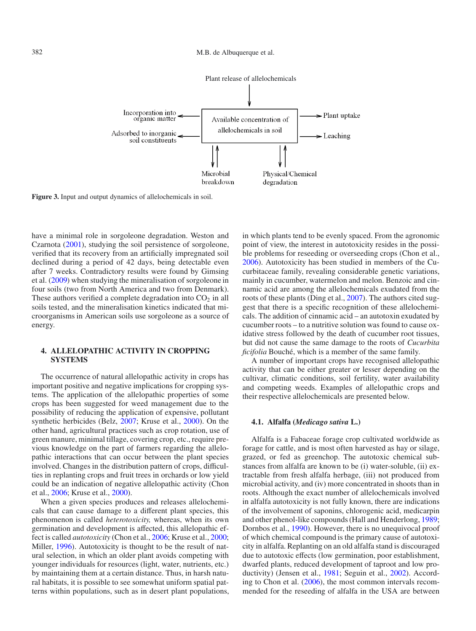

**Figure 3.** Input and output dynamics of allelochemicals in soil.

have a minimal role in sorgoleone degradation. Weston and Czarnota (2001), studying the soil persistence of sorgoleone, verified that its recovery from an artificially impregnated soil declined during a period of 42 days, being detectable even after 7 weeks. Contradictory results were found by Gimsing et al. (2009) when studying the mineralisation of sorgoleone in four soils (two from North America and two from Denmark). These authors verified a complete degradation into  $CO<sub>2</sub>$  in all soils tested, and the mineralisation kinetics indicated that microorganisms in American soils use sorgoleone as a source of energy.

### **4. ALLELOPATHIC ACTIVITY IN CROPPING SYSTEMS**

The occurrence of natural allelopathic activity in crops has important positive and negative implications for cropping systems. The application of the allelopathic properties of some crops has been suggested for weed management due to the possibility of reducing the application of expensive, pollutant synthetic herbicides (Belz, 2007; Kruse et al., 2000). On the other hand, agricultural practices such as crop rotation, use of green manure, minimal tillage, covering crop, etc., require previous knowledge on the part of farmers regarding the allelopathic interactions that can occur between the plant species involved. Changes in the distribution pattern of crops, difficulties in replanting crops and fruit trees in orchards or low yield could be an indication of negative allelopathic activity (Chon et al., 2006; Kruse et al., 2000).

When a given species produces and releases allelochemicals that can cause damage to a different plant species, this phenomenon is called *heterotoxicity,* whereas, when its own germination and development is affected, this allelopathic effect is called *autotoxicity* (Chon et al., 2006; Kruse et al., 2000; Miller, 1996). Autotoxicity is thought to be the result of natural selection, in which an older plant avoids competing with younger individuals for resources (light, water, nutrients, etc.) by maintaining them at a certain distance. Thus, in harsh natural habitats, it is possible to see somewhat uniform spatial patterns within populations, such as in desert plant populations,

in which plants tend to be evenly spaced. From the agronomic point of view, the interest in autotoxicity resides in the possible problems for reseeding or overseeding crops (Chon et al., 2006). Autotoxicity has been studied in members of the Cucurbitaceae family, revealing considerable genetic variations, mainly in cucumber, watermelon and melon. Benzoic and cinnamic acid are among the allelochemicals exudated from the roots of these plants (Ding et al., 2007). The authors cited suggest that there is a specific recognition of these allelochemicals. The addition of cinnamic acid – an autotoxin exudated by cucumber roots – to a nutritive solution was found to cause oxidative stress followed by the death of cucumber root tissues, but did not cause the same damage to the roots of *Cucurbita ficifolia* Bouché, which is a member of the same family.

A number of important crops have recognised allelopathic activity that can be either greater or lesser depending on the cultivar, climatic conditions, soil fertility, water availability and competing weeds. Examples of allelopathic crops and their respective allelochemicals are presented below.

#### **4.1. Alfalfa (***Medicago sativa* **L.)**

Alfalfa is a Fabaceae forage crop cultivated worldwide as forage for cattle, and is most often harvested as hay or silage, grazed, or fed as greenchop. The autotoxic chemical substances from alfalfa are known to be (i) water-soluble, (ii) extractable from fresh alfalfa herbage, (iii) not produced from microbial activity, and (iv) more concentrated in shoots than in roots. Although the exact number of allelochemicals involved in alfalfa autotoxicity is not fully known, there are indications of the involvement of saponins, chlorogenic acid, medicarpin and other phenol-like compounds (Hall and Henderlong, 1989; Dornbos et al., 1990). However, there is no unequivocal proof of which chemical compound is the primary cause of autotoxicity in alfalfa. Replanting on an old alfalfa stand is discouraged due to autotoxic effects (low germination, poor establishment, dwarfed plants, reduced development of taproot and low productivity) (Jensen et al., 1981; Seguin et al., 2002). According to Chon et al. (2006), the most common intervals recommended for the reseeding of alfalfa in the USA are between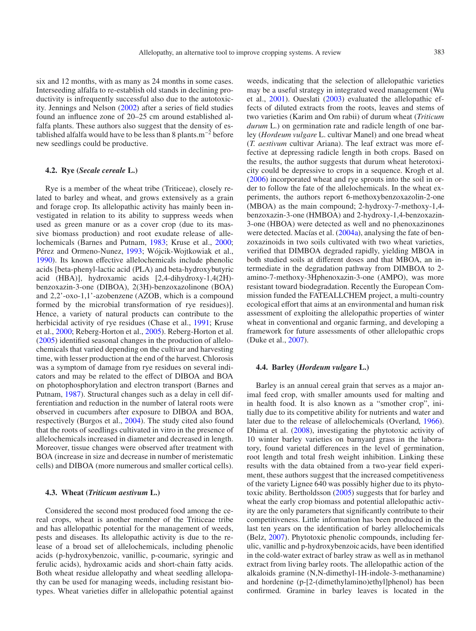six and 12 months, with as many as 24 months in some cases. Interseeding alfalfa to re-establish old stands in declining productivity is infrequently successful also due to the autotoxicity. Jennings and Nelson (2002) after a series of field studies found an influence zone of 20–25 cm around established alfalfa plants. These authors also suggest that the density of established alfalfa would have to be less than 8 plants.m−<sup>2</sup> before new seedlings could be productive.

#### **4.2. Rye (***Secale cereale* **L.)**

Rye is a member of the wheat tribe (Triticeae), closely related to barley and wheat, and grows extensively as a grain and forage crop. Its allelopathic activity has mainly been investigated in relation to its ability to suppress weeds when used as green manure or as a cover crop (due to its massive biomass production) and root exudate release of allelochemicals (Barnes and Putnam, 1983; Kruse et al., 2000; Pérez and Ormeno-Nunez, 1993; Wójcik-Wojtkowiak et al., 1990). Its known effective allelochemicals include phenolic acids [beta-phenyl-lactic acid (PLA) and beta-hydroxybutyric acid (HBA)], hydroxamic acids [2,4-dihydroxy-1,4(2H) benzoxazin-3-one (DIBOA), 2(3H)-benzoxazolinone (BOA) and 2,2'-oxo-1,1'-azobenzene (AZOB, which is a compound formed by the microbial transformation of rye residues)]. Hence, a variety of natural products can contribute to the herbicidal activity of rye residues (Chase et al., 1991; Kruse et al., 2000; Reberg-Horton et al., 2005). Reberg-Horton et al. (2005) identified seasonal changes in the production of allelochemicals that varied depending on the cultivar and harvesting time, with lesser production at the end of the harvest. Chlorosis was a symptom of damage from rye residues on several indicators and may be related to the effect of DIBOA and BOA on photophosphorylation and electron transport (Barnes and Putnam, 1987). Structural changes such as a delay in cell differentiation and reduction in the number of lateral roots were observed in cucumbers after exposure to DIBOA and BOA, respectively (Burgos et al., 2004). The study cited also found that the roots of seedlings cultivated in vitro in the presence of allelochemicals increased in diameter and decreased in length. Moreover, tissue changes were observed after treatment with BOA (increase in size and decrease in number of meristematic cells) and DIBOA (more numerous and smaller cortical cells).

### **4.3. Wheat (***Triticum aestivum* **L.)**

Considered the second most produced food among the cereal crops, wheat is another member of the Triticeae tribe and has allelopathic potential for the management of weeds, pests and diseases. Its allelopathic activity is due to the release of a broad set of allelochemicals, including phenolic acids (p-hydroxybenzoic, vanillic, p-coumaric, syringic and ferulic acids), hydroxamic acids and short-chain fatty acids. Both wheat residue allelopathy and wheat seedling allelopathy can be used for managing weeds, including resistant biotypes. Wheat varieties differ in allelopathic potential against

weeds, indicating that the selection of allelopathic varieties may be a useful strategy in integrated weed management (Wu et al., 2001). Oueslati (2003) evaluated the allelopathic effects of diluted extracts from the roots, leaves and stems of two varieties (Karim and Om rabii) of durum wheat (*Triticum durum* L.) on germination rate and radicle length of one barley (*Hordeum vulgare* L. cultivar Manel) and one bread wheat (*T. aestivum* cultivar Ariana). The leaf extract was more effective at depressing radicle length in both crops. Based on the results, the author suggests that durum wheat heterotoxicity could be depressive to crops in a sequence. Krogh et al. (2006) incorporated wheat and rye sprouts into the soil in order to follow the fate of the allelochemicals. In the wheat experiments, the authors report 6-methoxybenzoxazolin-2-one (MBOA) as the main compound; 2-hydroxy-7-methoxy-1,4 benzoxazin-3-one (HMBOA) and 2-hydroxy-1,4-benzoxazin-3-one (HBOA) were detected as well and no phenoxazinones were detected. Macías et al. (2004a), analysing the fate of benzoxazinoids in two soils cultivated with two wheat varieties, verified that DIMBOA degraded rapidly, yielding MBOA in both studied soils at different doses and that MBOA, an intermediate in the degradation pathway from DIMBOA to 2 amino-7-methoxy-3Hphenoxazin-3-one (AMPO), was more resistant toward biodegradation. Recently the European Commission funded the FATEALLCHEM project, a multi-country ecological effort that aims at an environmental and human risk assessment of exploiting the allelopathic properties of winter wheat in conventional and organic farming, and developing a framework for future assessments of other allelopathic crops (Duke et al., 2007).

#### **4.4. Barley (***Hordeum vulgare* **L.)**

Barley is an annual cereal grain that serves as a major animal feed crop, with smaller amounts used for malting and in health food. It is also known as a "smother crop", initially due to its competitive ability for nutrients and water and later due to the release of allelochemicals (Overland, 1966). Dhima et al. (2008), investigating the phytotoxic activity of 10 winter barley varieties on barnyard grass in the laboratory, found varietal differences in the level of germination, root length and total fresh weight inhibition. Linking these results with the data obtained from a two-year field experiment, these authors suggest that the increased competitiveness of the variety Lignee 640 was possibly higher due to its phytotoxic ability. Bertholdsson (2005) suggests that for barley and wheat the early crop biomass and potential allelopathic activity are the only parameters that significantly contribute to their competitiveness. Little information has been produced in the last ten years on the identification of barley allelochemicals (Belz, 2007). Phytotoxic phenolic compounds, including ferulic, vanillic and p-hydroxybenzoic acids, have been identified in the cold-water extract of barley straw as well as in methanol extract from living barley roots. The allelopathic action of the alkaloids gramine (N,N-dimethyl-1H-indole-3-methanamine) and hordenine (p-[2-(dimethylamino)ethyl]phenol) has been confirmed. Gramine in barley leaves is located in the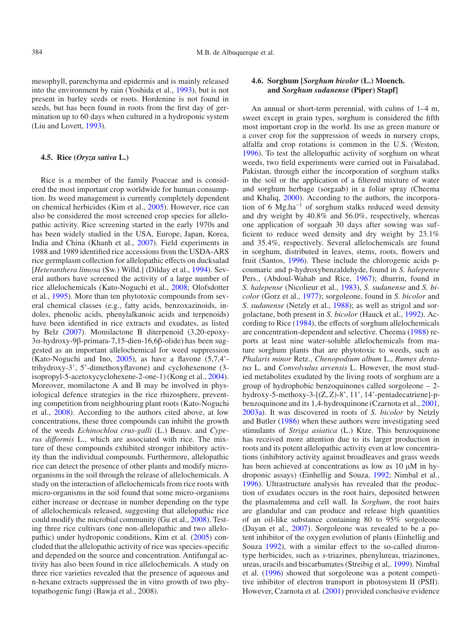mesophyll, parenchyma and epidermis and is mainly released into the environment by rain (Yoshida et al., 1993), but is not present in barley seeds or roots. Hordenine is not found in seeds, but has been found in roots from the first day of germination up to 60 days when cultured in a hydroponic system (Liu and Lovett, 1993).

#### **4.5. Rice (***Oryza sativa* **L.)**

Rice is a member of the family Poaceae and is considered the most important crop worldwide for human consumption. Its weed management is currently completely dependent on chemical herbicides (Kim et al., 2005). However, rice can also be considered the most screened crop species for allelopathic activity. Rice screening started in the early 1970s and has been widely studied in the USA, Europe, Japan, Korea, India and China (Khanh et al., 2007). Field experiments in 1988 and 1989 identified rice accessions from the USDA-ARS rice germplasm collection for allelopathic effects on ducksalad [*Heteranthera limosa* (Sw.) Willd.] (Dilday et al., 1994). Several authors have screened the activity of a large number of rice allelochemicals (Kato-Noguchi et al., 2008; Olofsdotter et al., 1995). More than ten phytotoxic compounds from several chemical classes (e.g., fatty acids, benzoxazinoids, indoles, phenolic acids, phenylalkanoic acids and terpenoids) have been identified in rice extracts and exudates, as listed by Belz (2007). Momilactone B diterpenoid (3,20-epoxy-3α-hydroxy-9β-primara-7,15-dien-16,6β-olide) has been suggested as an important allelochemical for weed suppression (Kato-Noguchi and Ino, 2005), as have a flavone (5,7,4' trihydroxy-3', 5'-dimethoxyflavone) and cyclohexenone (3 isopropyl-5-acetoxycyclohexene-2-one-1) (Kong et al., 2004). Moreover, momilactone A and B may be involved in physiological defence strategies in the rice rhizosphere, preventing competition from neighbouring plant roots (Kato-Noguchi et al., 2008). According to the authors cited above, at low concentrations, these three compounds can inhibit the growth of the weeds *Echinochloa crus-galli* (L.) Beauv. and *Cyperus di*ff*ormis* L., which are associated with rice. The mixture of these compounds exhibited stronger inhibitory activity than the individual compounds. Furthermore, allelopathic rice can detect the presence of other plants and modify microorganisms in the soil through the release of allelochemicals. A study on the interaction of allelochemicals from rice roots with micro-organisms in the soil found that some micro-organisms either increase or decrease in number depending on the type of allelochemicals released, suggesting that allelopathic rice could modify the microbial community (Gu et al., 2008). Testing three rice cultivars (one non-allelopathic and two allelopathic) under hydroponic conditions, Kim et al. (2005) concluded that the allelopathic activity of rice was species-specific and depended on the source and concentration. Antifungal activity has also been found in rice allelochemicals. A study on three rice varieties revealed that the presence of aqueous and n-hexane extracts suppressed the in vitro growth of two phytopathogenic fungi (Bawja et al., 2008).

## **4.6. Sorghum [***Sorghum bicolor* **(L.) Moench. and** *Sorghum sudanense* **(Piper) Stapf]**

An annual or short-term perennial, with culms of 1–4 m, sweet except in grain types, sorghum is considered the fifth most important crop in the world. Its use as green manure or a cover crop for the suppression of weeds in nursery crops, alfalfa and crop rotations is common in the U.S. (Weston, 1996). To test the allelopathic activity of sorghum on wheat weeds, two field experiments were carried out in Faisalabad, Pakistan, through either the incorporation of sorghum stalks in the soil or the application of a filtered mixture of water and sorghum herbage (sorgaab) in a foliar spray (Cheema and Khaliq, 2000). According to the authors, the incorporation of 6 Mg.ha<sup> $-1$ </sup> of sorghum stalks reduced weed density and dry weight by 40.8% and 56.0%, respectively, whereas one application of sorgaab 30 days after sowing was sufficient to reduce weed density and dry weight by 23.1% and 35.4%, respectively. Several allelochemicals are found in sorghum, distributed in leaves, stems, roots, flowers and fruit (Santos, 1996). These include the chlorogenic acids pcoumaric and p-hydroxybenzaldehyde, found in *S. halepense* Pers., (Abdoul-Wahab and Rice, 1967); dhurrin, found in *S. halepense* (Nicolieur et al., 1983), *S. sudanense* and *S. bicolor* (Gorz et al., 1977); sorgoleone, found in *S. bicolor* and *S. sudanense* (Netzly et al., 1988); as well as strigol and sorgolactane, both present in *S. bicolor* (Hauck et al., 1992). According to Rice (1984), the effects of sorghum allelochemicals are concentration-dependent and selective. Cheema (1988) reports at least nine water-soluble allelochemicals from mature sorghum plants that are phytotoxic to weeds, such as *Phalaris minor* Retz., *Chenopodium album* L., *Rumex dentatus* L. and *Convolvulus arvensis* L. However, the most studied metabolites exudated by the living roots of sorghum are a group of hydrophobic benzoquinones called sorgoleone – 2 hydroxy-5-methoxy-3-[(Z, Z)-8', 11', 14'-pentadecatriene]-pbenzoquinone and its 1,4-hydroquinone (Czarnota et al., 2001, 2003a). It was discovered in roots of *S. bicolor* by Netzly and Butler (1986) when these authors were investigating seed stimulants of *Striga asiatica* (L.) Ktze. This benzoquinone has received more attention due to its larger production in roots and its potent allelopathic activity even at low concentrations (inhibitory activity against broadleaves and grass weeds has been achieved at concentrations as low as 10 μM in hydroponic assays) (Einhellig and Souza, 1992; Nimbal et al., 1996). Ultrastructure analysis has revealed that the production of exudates occurs in the root hairs, deposited between the plasmalemma and cell wall. In *Sorghum*, the root hairs are glandular and can produce and release high quantities of an oil-like substance containing 80 to 95% sorgoleone (Dayan et al., 2007). Sorgoleone was revealed to be a potent inhibitor of the oxygen evolution of plants (Einhellig and Souza 1992), with a similar effect to the so-called diurontype herbicides, such as *s*-triazines, phenylureas, triazinones, ureas, uracils and biscarbamates (Streibig et al,. 1999). Nimbal et al. (1996) showed that sorgoleone was a potent competitive inhibitor of electron transport in photosystem II (PSII). However, Czarnota et al. (2001) provided conclusive evidence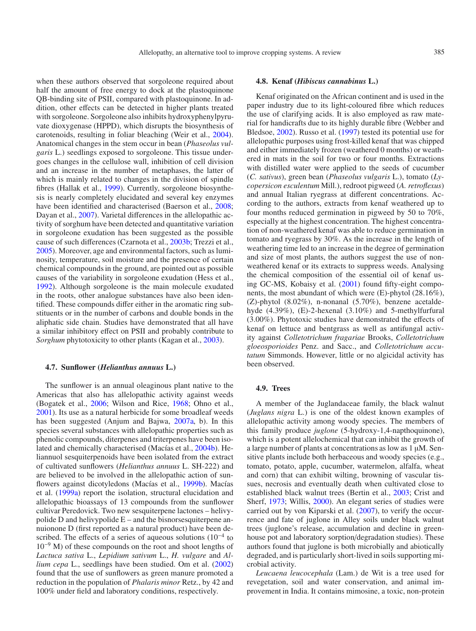when these authors observed that sorgoleone required about half the amount of free energy to dock at the plastoquinone QB-binding site of PSII, compared with plastoquinone. In addition, other effects can be detected in higher plants treated with sorgoleone. Sorgoleone also inhibits hydroxyphenylpyruvate dioxygenase (HPPD), which disrupts the biosynthesis of carotenoids, resulting in foliar bleaching (Weir et al., 2004). Anatomical changes in the stem occur in bean (*Phaseolus vulgaris* L.) seedlings exposed to sorgoleone. This tissue undergoes changes in the cellulose wall, inhibition of cell division and an increase in the number of metaphases, the latter of which is mainly related to changes in the division of spindle fibres (Hallak et al., 1999). Currently, sorgoleone biosynthesis is nearly completely elucidated and several key enzymes have been identified and characterised (Baerson et al., 2008; Dayan et al., 2007). Varietal differences in the allelopathic activity of sorghum have been detected and quantitative variation in sorgoleone exudation has been suggested as the possible cause of such differences (Czarnota et al., 2003b; Trezzi et al., 2005). Moreover, age and environmental factors, such as luminosity, temperature, soil moisture and the presence of certain chemical compounds in the ground, are pointed out as possible causes of the variability in sorgoleone exudation (Hess et al., 1992). Although sorgoleone is the main molecule exudated in the roots, other analogue substances have also been identified. These compounds differ either in the aromatic ring substituents or in the number of carbons and double bonds in the aliphatic side chain. Studies have demonstrated that all have a similar inhibitory effect on PSII and probably contribute to *Sorghum* phytotoxicity to other plants (Kagan et al., 2003).

#### **4.7. Sunflower (***Helianthus annuus* **L.)**

The sunflower is an annual oleaginous plant native to the Americas that also has allelopathic activity against weeds (Bogatek et al., 2006; Wilson and Rice, 1968; Ohno et al., 2001). Its use as a natural herbicide for some broadleaf weeds has been suggested (Anjum and Bajwa, 2007a, b). In this species several substances with allelopathic properties such as phenolic compounds, diterpenes and triterpenes have been isolated and chemically characterised (Macías et al., 2004b). Heliannuol sesquiterpenoids have been isolated from the extract of cultivated sunflowers (*Helianthus annuus* L. SH-222) and are believed to be involved in the allelopathic action of sunflowers against dicotyledons (Macías et al., 1999b). Macías et al. (1999a) report the isolation, structural elucidation and allelopathic bioassays of 13 compounds from the sunflower cultivar Peredovick. Two new sesquiterpene lactones – helivypolide D and helivypolide  $E$  – and the bisnorses quiterpene annuionone D (first reported as a natural product) have been described. The effects of a series of aqueous solutions  $(10^{-4}$  to 10−<sup>9</sup> M) of these compounds on the root and shoot lengths of *Lactuca sativa* L., *Lepidium sativum* L., *H. vulgare* and *Allium cepa* L., seedlings have been studied. Om et al. (2002) found that the use of sunflowers as green manure promoted a reduction in the population of *Phalaris minor* Retz., by 42 and 100% under field and laboratory conditions, respectively.

## **4.8. Kenaf (***Hibiscus cannabinus* **L.)**

Kenaf originated on the African continent and is used in the paper industry due to its light-coloured fibre which reduces the use of clarifying acids. It is also employed as raw material for handicrafts due to its highly durable fibre (Webber and Bledsoe, 2002). Russo et al. (1997) tested its potential use for allelopathic purposes using frost-killed kenaf that was chipped and either immediately frozen (weathered 0 months) or weathered in mats in the soil for two or four months. Extractions with distilled water were applied to the seeds of cucumber (*C. sativus*), green bean (*Phaseolus vulgaris* L.), tomato (*Lycopersicon esculentum* Mill.), redroot pigweed (*A. retroflexus*) and annual Italian ryegrass at different concentrations. According to the authors, extracts from kenaf weathered up to four months reduced germination in pigweed by 50 to 70%, especially at the highest concentration. The highest concentration of non-weathered kenaf was able to reduce germination in tomato and ryegrass by 30%. As the increase in the length of weathering time led to an increase in the degree of germination and size of most plants, the authors suggest the use of nonweathered kenaf or its extracts to suppress weeds. Analysing the chemical composition of the essential oil of kenaf using GC-MS, Kobaisy et al. (2001) found fifty-eight components, the most abundant of which were (E)-phytol (28.16%),  $(Z)$ -phytol  $(8.02\%)$ , n-nonanal  $(5.70\%)$ , benzene acetaldehyde (4.39%), (E)-2-hexenal (3.10%) and 5-methylfurfural (3.00%). Phytotoxic studies have demonstrated the effects of kenaf on lettuce and bentgrass as well as antifungal activity against *Colletotrichum fragariae* Brooks, *Colletotrichum gloeosporioides* Penz. and Sacc., and *Colletotrichum accutatum* Simmonds. However, little or no algicidal activity has been observed.

#### **4.9. Trees**

A member of the Juglandaceae family, the black walnut (*Juglans nigra* L.) is one of the oldest known examples of allelopathic activity among woody species. The members of this family produce *juglone* (5-hydroxy-1,4-napthoquinone), which is a potent allelochemical that can inhibit the growth of a large number of plants at concentrations as low as 1 μM. Sensitive plants include both herbaceous and woody species (e.g., tomato, potato, apple, cucumber, watermelon, alfalfa, wheat and corn) that can exhibit wilting, browning of vascular tissues, necrosis and eventually death when cultivated close to established black walnut trees (Bertin et al., 2003; Crist and Sherf, 1973; Willis, 2000). An elegant series of studies were carried out by von Kiparski et al. (2007), to verify the occurrence and fate of juglone in Alley soils under black walnut trees (juglone's release, accumulation and decline in greenhouse pot and laboratory sorption/degradation studies). These authors found that juglone is both microbially and abiotically degraded, and is particularly short-lived in soils supporting microbial activity.

*Leucaena leucocephala* (Lam.) de Wit is a tree used for revegetation, soil and water conservation, and animal improvement in India. It contains mimosine, a toxic, non-protein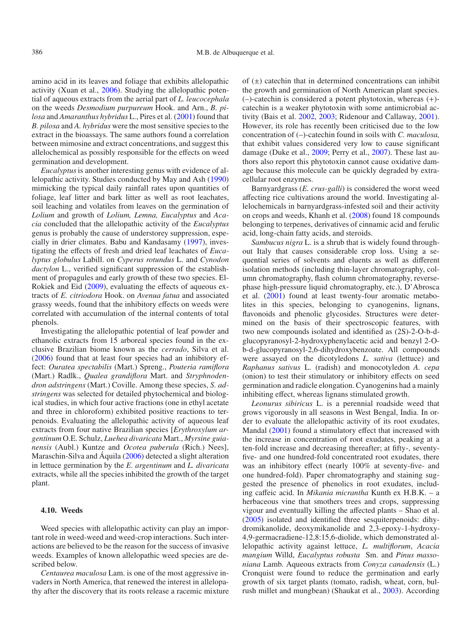amino acid in its leaves and foliage that exhibits allelopathic activity (Xuan et al., 2006). Studying the allelopathic potential of aqueous extracts from the aerial part of *L. leucocephala* on the weeds *Desmodium purpureum* Hook. and Arn., *B. pilosa* and *Amaranthus hybridus* L., Pires et al. (2001) found that *B. pilosa* and *A. hybridus* were the most sensitive species to the extract in the bioassays. The same authors found a correlation between mimosine and extract concentrations, and suggest this allelochemical as possibly responsible for the effects on weed germination and development.

*Eucalyptus*is another interesting genus with evidence of allelopathic activity. Studies conducted by May and Ash (1990) mimicking the typical daily rainfall rates upon quantities of foliage, leaf litter and bark litter as well as root leachates, soil leaching and volatiles from leaves on the germination of *Lolium* and growth of *Lolium, Lemna, Eucalyptus* and *Acacia* concluded that the allelopathic activity of the *Eucalyptus* genus is probably the cause of understorey suppression, especially in drier climates. Babu and Kandasamy (1997), investigating the effects of fresh and dried leaf leachates of *Eucalyptus globulus* Labill. on *Cyperus rotundus* L. and *Cynodon dactylon* L., verified significant suppression of the establishment of propagules and early growth of these two species. El-Rokiek and Eid (2009), evaluating the effects of aqueous extracts of *E. citriodora* Hook. on *Avenua fatua* and associated grassy weeds, found that the inhibitory effects on weeds were correlated with accumulation of the internal contents of total phenols.

Investigating the allelopathic potential of leaf powder and ethanolic extracts from 15 arboreal species found in the exclusive Brazilian biome known as the *cerrado*, Silva et al. (2006) found that at least four species had an inhibitory effect: *Ouratea spectabilis* (Mart.) Spreng., *Pouteria ramiflora* (Mart.) Radlk., *Qualea grandiflora* Mart. and *Stryphnodendron adstringens* (Mart.) Coville. Among these species, *S. adstringens* was selected for detailed phytochemical and biological studies, in which four active fractions (one in ethyl acetate and three in chloroform) exhibited positive reactions to terpenoids. Evaluating the allelopathic activity of aqueous leaf extracts from four native Brazilian species [*Erythroxylum argentinum* O.E. Schulz, *Luehea divaricata* Mart., *Myrsine guianensis* (Aubl.) Kuntze and *Ocotea puberula* (Rich.) Nees], Maraschin-Silva and Áquila (2006) detected a slight alteration in lettuce germination by the *E. argentinum* and *L. divaricata* extracts, while all the species inhibited the growth of the target plant.

#### **4.10. Weeds**

Weed species with allelopathic activity can play an important role in weed-weed and weed-crop interactions. Such interactions are believed to be the reason for the success of invasive weeds. Examples of known allelopathic weed species are described below.

*Centaurea maculosa* Lam. is one of the most aggressive invaders in North America, that renewed the interest in allelopathy after the discovery that its roots release a racemic mixture

of  $(\pm)$  catechin that in determined concentrations can inhibit the growth and germination of North American plant species. (–)-catechin is considered a potent phytotoxin, whereas (+) catechin is a weaker phytotoxin with some antimicrobial activity (Bais et al. 2002, 2003; Ridenour and Callaway, 2001). However, its role has recently been criticised due to the low concentration of (–)-catechin found in soils with *C. maculosa,* that exhibit values considered very low to cause significant damage (Duke et al., 2009; Perry et al., 2007). These last authors also report this phytotoxin cannot cause oxidative damage because this molecule can be quickly degraded by extracellular root enzymes.

Barnyardgrass (*E. crus-galli*) is considered the worst weed affecting rice cultivations around the world. Investigating allelochemicals in barnyardgrass-infested soil and their activity on crops and weeds, Khanh et al. (2008) found 18 compounds belonging to terpenes, derivatives of cinnamic acid and ferulic acid, long-chain fatty acids, and steroids.

*Sambucus nigra* L. is a shrub that is widely found throughout Italy that causes considerable crop loss. Using a sequential series of solvents and eluents as well as different isolation methods (including thin-layer chromatography, column chromatography, flash column chromatography, reversephase high-pressure liquid chromatography, etc.), D'Abrosca et al. (2001) found at least twenty-four aromatic metabolites in this species, belonging to cyanogenins, lignans, flavonoids and phenolic glycosides. Structures were determined on the basis of their spectroscopic features, with two new compounds isolated and identified as (2S)-2-O-b-dglucopyranosyl-2-hydroxyphenylacetic acid and benzyl 2-Ob-d-glucopyranosyl-2,6-dihydroxybenzoate. All compounds were assayed on the dicotyledons *L. sativa* (lettuce) and *Raphanus sativus* L. (radish) and monocotyledon *A. cepa* (onion) to test their stimulatory or inhibitory effects on seed germination and radicle elongation. Cyanogenins had a mainly inhibiting effect, whereas lignans stimulated growth.

*Leonurus sibiricus* L. is a perennial roadside weed that grows vigorously in all seasons in West Bengal, India. In order to evaluate the allelopathic activity of its root exudates, Mandal (2001) found a stimulatory effect that increased with the increase in concentration of root exudates, peaking at a ten-fold increase and decreasing thereafter; at fifty-, seventyfive- and one hundred-fold concentrated root exudates, there was an inhibitory effect (nearly 100% at seventy-five- and one hundred-fold). Paper chromatography and staining suggested the presence of phenolics in root exudates, including caffeic acid. In *Mikania micrantha* Kunth ex H.B.K. – a herbaceous vine that smothers trees and crops, suppressing vigour and eventually killing the affected plants – Shao et al. (2005) isolated and identified three sesquiterpenoids: dihydromikanolide, deoxymikanolide and 2,3-epoxy-1-hydroxy-4,9-germacradiene-12,8:15,6-diolide, which demonstrated allelopathic activity against lettuce, *L. multiflorum*, *Acacia mangium* Willd, *Eucalyptus robusta* Sm. and *Pinus massoniana* Lamb. Aqueous extracts from *Conyza canadensis* (L.) Cronquist were found to reduce the germination and early growth of six target plants (tomato, radish, wheat, corn, bulrush millet and mungbean) (Shaukat et al., 2003). According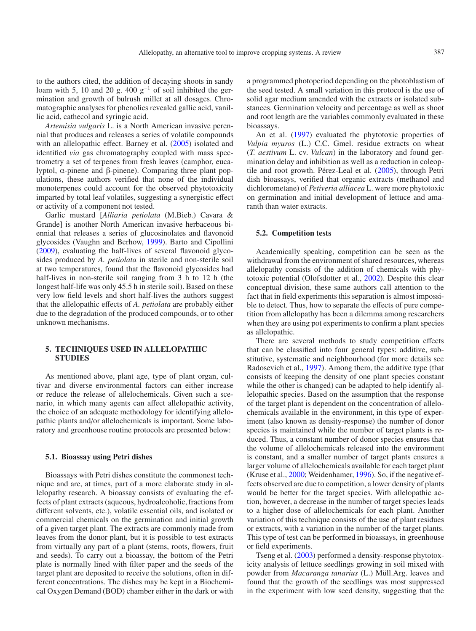to the authors cited, the addition of decaying shoots in sandy loam with 5, 10 and 20 g. 400  $g^{-1}$  of soil inhibited the germination and growth of bulrush millet at all dosages. Chromatographic analyses for phenolics revealed gallic acid, vanillic acid, cathecol and syringic acid.

*Artemisia vulgaris* L. is a North American invasive perennial that produces and releases a series of volatile compounds with an allelopathic effect. Barney et al. (2005) isolated and identified *via* gas chromatography coupled with mass spectrometry a set of terpenes from fresh leaves (camphor, eucalyptol, α-pinene and β-pinene). Comparing three plant populations, these authors verified that none of the individual monoterpenes could account for the observed phytotoxicity imparted by total leaf volatiles, suggesting a synergistic effect or activity of a component not tested.

Garlic mustard [*Alliaria petiolata* (M.Bieb.) Cavara & Grande] is another North American invasive herbaceous biennial that releases a series of glucosinolates and flavonoid glycosides (Vaughn and Berhow, 1999). Barto and Cipollini (2009), evaluating the half-lives of several flavonoid glycosides produced by *A. petiolata* in sterile and non-sterile soil at two temperatures, found that the flavonoid glycosides had half-lives in non-sterile soil ranging from 3 h to 12 h (the longest half-life was only 45.5 h in sterile soil). Based on these very low field levels and short half-lives the authors suggest that the allelopathic effects of *A. petiolata* are probably either due to the degradation of the produced compounds, or to other unknown mechanisms.

## **5. TECHNIQUES USED IN ALLELOPATHIC STUDIES**

As mentioned above, plant age, type of plant organ, cultivar and diverse environmental factors can either increase or reduce the release of allelochemicals. Given such a scenario, in which many agents can affect allelopathic activity, the choice of an adequate methodology for identifying allelopathic plants and/or allelochemicals is important. Some laboratory and greenhouse routine protocols are presented below:

#### **5.1. Bioassay using Petri dishes**

Bioassays with Petri dishes constitute the commonest technique and are, at times, part of a more elaborate study in allelopathy research. A bioassay consists of evaluating the effects of plant extracts (aqueous, hydroalcoholic, fractions from different solvents, etc.), volatile essential oils, and isolated or commercial chemicals on the germination and initial growth of a given target plant. The extracts are commonly made from leaves from the donor plant, but it is possible to test extracts from virtually any part of a plant (stems, roots, flowers, fruit and seeds). To carry out a bioassay, the bottom of the Petri plate is normally lined with filter paper and the seeds of the target plant are deposited to receive the solutions, often in different concentrations. The dishes may be kept in a Biochemical Oxygen Demand (BOD) chamber either in the dark or with

a programmed photoperiod depending on the photoblastism of the seed tested. A small variation in this protocol is the use of solid agar medium amended with the extracts or isolated substances. Germination velocity and percentage as well as shoot and root length are the variables commonly evaluated in these bioassays.

An et al. (1997) evaluated the phytotoxic properties of *Vulpia myuros* (L.) C.C. Gmel. residue extracts on wheat (*T. aestivum* L. cv. *Vulcan*) in the laboratory and found germination delay and inhibition as well as a reduction in coleoptile and root growth. Pérez-Leal et al. (2005), through Petri dish bioassays, verified that organic extracts (methanol and dichlorometane) of *Petiveria alliacea* L. were more phytotoxic on germination and initial development of lettuce and amaranth than water extracts.

#### **5.2. Competition tests**

Academically speaking, competition can be seen as the withdrawal from the environment of shared resources, whereas allelopathy consists of the addition of chemicals with phytotoxic potential (Olofsdotter et al., 2002). Despite this clear conceptual division, these same authors call attention to the fact that in field experiments this separation is almost impossible to detect. Thus, how to separate the effects of pure competition from allelopathy has been a dilemma among researchers when they are using pot experiments to confirm a plant species as allelopathic.

There are several methods to study competition effects that can be classified into four general types: additive, substitutive, systematic and neighbourhood (for more details see Radosevich et al., 1997). Among them, the additive type (that consists of keeping the density of one plant species constant while the other is changed) can be adapted to help identify allelopathic species. Based on the assumption that the response of the target plant is dependent on the concentration of allelochemicals available in the environment, in this type of experiment (also known as density-response) the number of donor species is maintained while the number of target plants is reduced. Thus, a constant number of donor species ensures that the volume of allelochemicals released into the environment is constant, and a smaller number of target plants ensures a larger volume of allelochemicals available for each target plant (Kruse et al., 2000; Weidenhamer, 1996). So, if the negative effects observed are due to competition, a lower density of plants would be better for the target species. With allelopathic action, however, a decrease in the number of target species leads to a higher dose of allelochemicals for each plant. Another variation of this technique consists of the use of plant residues or extracts, with a variation in the number of the target plants. This type of test can be performed in bioassays, in greenhouse or field experiments.

Tseng et al. (2003) performed a density-response phytotoxicity analysis of lettuce seedlings growing in soil mixed with powder from *Macaranga tanarius* (L.) Müll.Arg. leaves and found that the growth of the seedlings was most suppressed in the experiment with low seed density, suggesting that the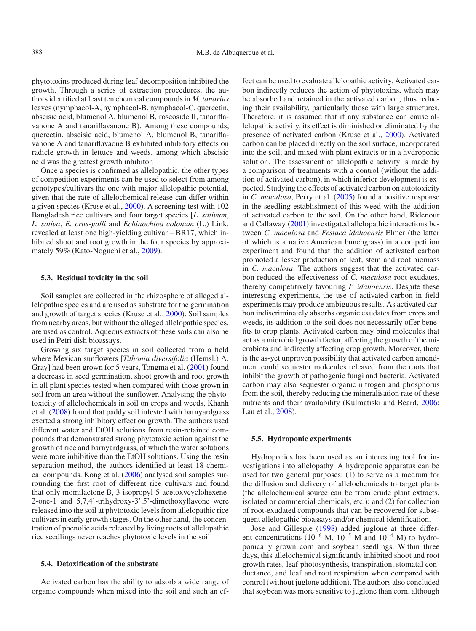phytotoxins produced during leaf decomposition inhibited the growth. Through a series of extraction procedures, the authors identified at least ten chemical compounds in *M. tanarius* leaves (nymphaeol-A, nymphaeol-B, nymphaeol-C, quercetin, abscisic acid, blumenol A, blumenol B, roseoside II, tanariflavanone A and tanariflavanone B). Among these compounds, quercetin, abscisic acid, blumenol A, blumenol B, tanariflavanone A and tanariflavaone B exhibited inhibitory effects on radicle growth in lettuce and weeds, among which abscisic acid was the greatest growth inhibitor.

Once a species is confirmed as allelopathic, the other types of competition experiments can be used to select from among genotypes/cultivars the one with major allelopathic potential, given that the rate of allelochemical release can differ within a given species (Kruse et al., 2000). A screening test with 102 Bangladesh rice cultivars and four target species [*L. sativum*, *L. sativa*, *E. crus-galli* and *Echinochloa colonum* (L.) Link. revealed at least one high-yielding cultivar – BR17, which inhibited shoot and root growth in the four species by approximately 59% (Kato-Noguchi et al., 2009).

#### **5.3. Residual toxicity in the soil**

Soil samples are collected in the rhizosphere of alleged allelopathic species and are used as substrate for the germination and growth of target species (Kruse et al., 2000). Soil samples from nearby areas, but without the alleged allelopathic species, are used as control. Aqueous extracts of these soils can also be used in Petri dish bioassays.

Growing six target species in soil collected from a field where Mexican sunflowers [*Tithonia diversifolia* (Hemsl.) A. Gray] had been grown for 5 years, Tongma et al. (2001) found a decrease in seed germination, shoot growth and root growth in all plant species tested when compared with those grown in soil from an area without the sunflower. Analysing the phytotoxicity of allelochemicals in soil on crops and weeds, Khanh et al. (2008) found that paddy soil infested with barnyardgrass exerted a strong inhibitory effect on growth. The authors used different water and EtOH solutions from resin-retained compounds that demonstrated strong phytotoxic action against the growth of rice and barnyardgrass, of which the water solutions were more inhibitive than the EtOH solutions. Using the resin separation method, the authors identified at least 18 chemical compounds. Kong et al. (2006) analysed soil samples surrounding the first root of different rice cultivars and found that only momilactone B, 3-isopropyl-5-acetoxycyclohexene-2-one-1 and 5,7,4'-trihydroxy-3',5'-dimethoxyflavone were released into the soil at phytotoxic levels from allelopathic rice cultivars in early growth stages. On the other hand, the concentration of phenolic acids released by living roots of allelopathic rice seedlings never reaches phytotoxic levels in the soil.

#### **5.4. Detoxification of the substrate**

Activated carbon has the ability to adsorb a wide range of organic compounds when mixed into the soil and such an ef-

fect can be used to evaluate allelopathic activity. Activated carbon indirectly reduces the action of phytotoxins, which may be absorbed and retained in the activated carbon, thus reducing their availability, particularly those with large structures. Therefore, it is assumed that if any substance can cause allelopathic activity, its effect is diminished or eliminated by the presence of activated carbon (Kruse et al., 2000). Activated carbon can be placed directly on the soil surface, incorporated into the soil, and mixed with plant extracts or in a hydroponic solution. The assessment of allelopathic activity is made by a comparison of treatments with a control (without the addition of activated carbon), in which inferior development is expected. Studying the effects of activated carbon on autotoxicity in *C. maculosa*, Perry et al. (2005) found a positive response in the seedling establishment of this weed with the addition of activated carbon to the soil. On the other hand, Ridenour and Callaway (2001) investigated allelopathic interactions between *C. maculosa* and *Festuca idahoensis* Elmer (the latter of which is a native American bunchgrass) in a competition experiment and found that the addition of activated carbon promoted a lesser production of leaf, stem and root biomass in *C. maculosa*. The authors suggest that the activated carbon reduced the effectiveness of *C. maculosa* root exudates, thereby competitively favouring *F. idahoensis*. Despite these interesting experiments, the use of activated carbon in field experiments may produce ambiguous results. As activated carbon indiscriminately absorbs organic exudates from crops and weeds, its addition to the soil does not necessarily offer benefits to crop plants. Activated carbon may bind molecules that act as a microbial growth factor, affecting the growth of the microbiota and indirectly affecting crop growth. Moreover, there is the as-yet unproven possibility that activated carbon amendment could sequester molecules released from the roots that inhibit the growth of pathogenic fungi and bacteria. Activated carbon may also sequester organic nitrogen and phosphorus from the soil, thereby reducing the mineralisation rate of these nutrients and their availability (Kulmatiski and Beard, 2006; Lau et al., 2008).

#### **5.5. Hydroponic experiments**

Hydroponics has been used as an interesting tool for investigations into allelopathy. A hydroponic apparatus can be used for two general purposes: (1) to serve as a medium for the diffusion and delivery of allelochemicals to target plants (the allelochemical source can be from crude plant extracts, isolated or commercial chemicals, etc.); and (2) for collection of root-exudated compounds that can be recovered for subsequent allelopathic bioassays and/or chemical identification.

Jose and Gillespie (1998) added juglone at three different concentrations (10<sup>-6</sup> M, 10<sup>-5</sup> M and 10<sup>-4</sup> M) to hydroponically grown corn and soybean seedlings. Within three days, this allelochemical significantly inhibited shoot and root growth rates, leaf photosynthesis, transpiration, stomatal conductance, and leaf and root respiration when compared with control (without juglone addition). The authors also concluded that soybean was more sensitive to juglone than corn, although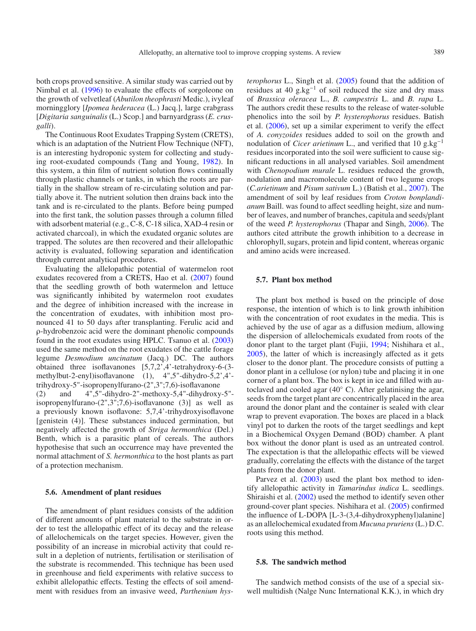both crops proved sensitive. A similar study was carried out by Nimbal et al. (1996) to evaluate the effects of sorgoleone on the growth of velvetleaf (*Abutilon theophrasti* Medic.), ivyleaf morningglory [*Ipomea hederacea* (L.) Jacq.], large crabgrass [*Digitaria sanguinalis* (L.) Scop.] and barnyardgrass (*E. crusgalli*).

The Continuous Root Exudates Trapping System (CRETS), which is an adaptation of the Nutrient Flow Technique (NFT), is an interesting hydroponic system for collecting and studying root-exudated compounds (Tang and Young, 1982). In this system, a thin film of nutrient solution flows continually through plastic channels or tanks, in which the roots are partially in the shallow stream of re-circulating solution and partially above it. The nutrient solution then drains back into the tank and is re-circulated to the plants. Before being pumped into the first tank, the solution passes through a column filled with adsorbent material (e.g., C-8, C-18 silica, XAD-4 resin or activated charcoal), in which the exudated organic solutes are trapped. The solutes are then recovered and their allelopathic activity is evaluated, following separation and identification through current analytical procedures.

Evaluating the allelopathic potential of watermelon root exudates recovered from a CRETS, Hao et al. (2007) found that the seedling growth of both watermelon and lettuce was significantly inhibited by watermelon root exudates and the degree of inhibition increased with the increase in the concentration of exudates, with inhibition most pronounced 41 to 50 days after transplanting. Ferulic acid and ρ-hydrobenzoic acid were the dominant phenolic compounds found in the root exudates using HPLC. Tsanuo et al. (2003) used the same method on the root exudates of the cattle forage legume *Desmodium uncinatum* (Jacq.) DC. The authors obtained three isoflavanones [5,7,2',4'-tetrahydroxy-6-(3 methylbut-2-enyl)isoflavanone (1), 4",5"-dihydro-5,2',4' trihydroxy-5"-isopropenylfurano-(2",3";7,6)-isoflavanone (2) and 4",5"-dihydro-2"-methoxy-5,4"-dihydroxy-5" isopropenylfurano-(2",3";7,6)-isoflavanone (3)] as well as a previously known isoflavone: 5,7,4'-trihydroxyisoflavone [genistein (4)]. These substances induced germination, but negatively affected the growth of *Striga hermonthica* (Del.) Benth, which is a parasitic plant of cereals. The authors hypothesise that such an occurrence may have prevented the normal attachment of *S. hermonthica* to the host plants as part of a protection mechanism.

#### **5.6. Amendment of plant residues**

The amendment of plant residues consists of the addition of different amounts of plant material to the substrate in order to test the allelopathic effect of its decay and the release of allelochemicals on the target species. However, given the possibility of an increase in microbial activity that could result in a depletion of nutrients, fertilisation or sterilisation of the substrate is recommended. This technique has been used in greenhouse and field experiments with relative success to exhibit allelopathic effects. Testing the effects of soil amendment with residues from an invasive weed, *Parthenium hys-* *terophorus* L., Singh et al. (2005) found that the addition of residues at 40 g.kg<sup> $-1$ </sup> of soil reduced the size and dry mass of *Brassica oleracea* L., *B. campestris* L. and *B. rapa* L. The authors credit these results to the release of water-soluble phenolics into the soil by *P. hysterophorus* residues. Batish et al. (2006), set up a similar experiment to verify the effect of *A. conyzoides* residues added to soil on the growth and nodulation of *Cicer arietinum* L., and verified that 10 g.kg<sup>-1</sup> residues incorporated into the soil were sufficient to cause significant reductions in all analysed variables. Soil amendment with *Chenopodium murale* L. residues reduced the growth, nodulation and macromolecule content of two legume crops (*C.arietinum* and *Pisum sativum* L.) (Batish et al., 2007). The amendment of soil by leaf residues from *Croton bonplandianum* Baill. was found to affect seedling height, size and number of leaves, and number of branches, capitula and seeds/plant of the weed *P. hysterophorus* (Thapar and Singh, 2006). The authors cited attribute the growth inhibition to a decrease in chlorophyll, sugars, protein and lipid content, whereas organic and amino acids were increased.

#### **5.7. Plant box method**

The plant box method is based on the principle of dose response, the intention of which is to link growth inhibition with the concentration of root exudates in the media. This is achieved by the use of agar as a diffusion medium, allowing the dispersion of allelochemicals exudated from roots of the donor plant to the target plant (Fujii, 1994; Nishihara et al., 2005), the latter of which is increasingly affected as it gets closer to the donor plant. The procedure consists of putting a donor plant in a cellulose (or nylon) tube and placing it in one corner of a plant box. The box is kept in ice and filled with autoclaved and cooled agar (40◦ C). After gelatinising the agar, seeds from the target plant are concentrically placed in the area around the donor plant and the container is sealed with clear wrap to prevent evaporation. The boxes are placed in a black vinyl pot to darken the roots of the target seedlings and kept in a Biochemical Oxygen Demand (BOD) chamber. A plant box without the donor plant is used as an untreated control. The expectation is that the allelopathic effects will be viewed gradually, correlating the effects with the distance of the target plants from the donor plant.

Parvez et al. (2003) used the plant box method to identify allelopathic activity in *Tamarindus indica* L. seedlings. Shiraishi et al. (2002) used the method to identify seven other ground-cover plant species. Nishihara et al. (2005) confirmed the influence of L-DOPA [L-3-(3,4-dihydroxyphenyl)alanine] as an allelochemical exudated from *Mucuna pruriens*(L.) D.C. roots using this method.

#### **5.8. The sandwich method**

The sandwich method consists of the use of a special sixwell multidish (Nalge Nunc International K.K.), in which dry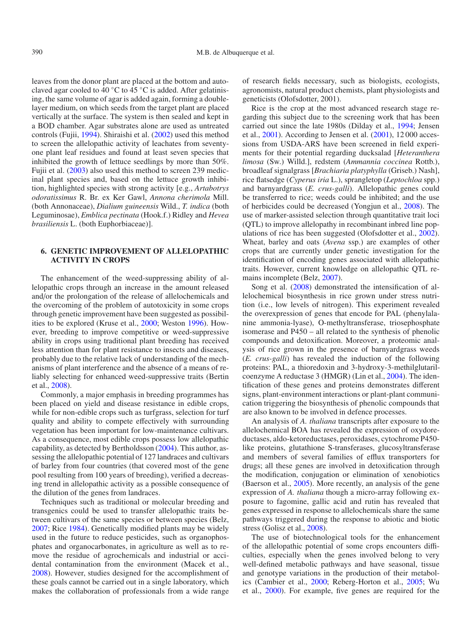leaves from the donor plant are placed at the bottom and autoclaved agar cooled to 40  $\degree$ C to 45  $\degree$ C is added. After gelatinising, the same volume of agar is added again, forming a doublelayer medium, on which seeds from the target plant are placed vertically at the surface. The system is then sealed and kept in a BOD chamber. Agar substrates alone are used as untreated controls (Fujii, 1994). Shiraishi et al. (2002) used this method to screen the allelopathic activity of leachates from seventyone plant leaf residues and found at least seven species that inhibited the growth of lettuce seedlings by more than 50%. Fujii et al. (2003) also used this method to screen 239 medicinal plant species and, based on the lettuce growth inhibition, highlighted species with strong activity [e.g., *Artabotrys odoratissimus* R. Br. ex Ker Gawl, *Annona cherimola* Mill. (both Annonaceae), *Dialium guineensis* Wild., *T. indica* (both Leguminosae), *Emblica pectinata* (Hook.f.) Ridley and *Hevea brasiliensis* L. (both Euphorbiaceae)].

## **6. GENETIC IMPROVEMENT OF ALLELOPATHIC ACTIVITY IN CROPS**

The enhancement of the weed-suppressing ability of allelopathic crops through an increase in the amount released and/or the prolongation of the release of allelochemicals and the overcoming of the problem of autotoxicity in some crops through genetic improvement have been suggested as possibilities to be explored (Kruse et al., 2000; Weston 1996). However, breeding to improve competitive or weed-suppressive ability in crops using traditional plant breeding has received less attention than for plant resistance to insects and diseases, probably due to the relative lack of understanding of the mechanisms of plant interference and the absence of a means of reliably selecting for enhanced weed-suppressive traits (Bertin et al., 2008).

Commonly, a major emphasis in breeding programmes has been placed on yield and disease resistance in edible crops, while for non-edible crops such as turfgrass, selection for turf quality and ability to compete effectively with surrounding vegetation has been important for low-maintenance cultivars. As a consequence, most edible crops possess low allelopathic capability, as detected by Bertholdsson (2004). This author, assessing the allelopathic potential of 127 landraces and cultivars of barley from four countries (that covered most of the gene pool resulting from 100 years of breeding), verified a decreasing trend in allelopathic activity as a possible consequence of the dilution of the genes from landraces.

Techniques such as traditional or molecular breeding and transgenics could be used to transfer allelopathic traits between cultivars of the same species or between species (Belz, 2007; Rice 1984). Genetically modified plants may be widely used in the future to reduce pesticides, such as organophosphates and organocarbonates, in agriculture as well as to remove the residue of agrochemicals and industrial or accidental contamination from the environment (Macek et al., 2008). However, studies designed for the accomplishment of these goals cannot be carried out in a single laboratory, which makes the collaboration of professionals from a wide range

of research fields necessary, such as biologists, ecologists, agronomists, natural product chemists, plant physiologists and geneticists (Olofsdotter, 2001).

Rice is the crop at the most advanced research stage regarding this subject due to the screening work that has been carried out since the late 1980s (Dilday et al., 1994; Jensen et al., 2001). According to Jensen et al. (2001), 12 000 accessions from USDA-ARS have been screened in field experiments for their potential regarding ducksalad [*Heteranthera limosa* (Sw.) Willd.], redstem (*Ammannia coccinea* Rottb.), broadleaf signalgrass [*Brachiaria platyphylla* (Griseb.) Nash], rice flatsedge (*Cyperus iria* L.), sprangletop (*Leptochloa* spp.) and barnyardgrass (*E. crus-galli*). Allelopathic genes could be transferred to rice; weeds could be inhibited; and the use of herbicides could be decreased (Yongjun et al., 2008). The use of marker-assisted selection through quantitative trait loci (QTL) to improve allelopathy in recombinant inbred line populations of rice has been suggested (Olofsdotter et al., 2002). Wheat, barley and oats (*Avena* ssp.) are examples of other crops that are currently under genetic investigation for the identification of encoding genes associated with allelopathic traits. However, current knowledge on allelopathic QTL remains incomplete (Belz, 2007).

Song et al. (2008) demonstrated the intensification of allelochemical biosynthesis in rice grown under stress nutrition (i.e., low levels of nitrogen). This experiment revealed the overexpression of genes that encode for PAL (phenylalanine ammonia-lyase), O-methyltransferase, triosephosphate isomerase and P450 – all related to the synthesis of phenolic compounds and detoxification. Moreover, a proteomic analysis of rice grown in the presence of barnyardgrass weeds (*E. crus-galli*) has revealed the induction of the following proteins: PAL, a thioredoxin and 3-hydroxy-3-methilglutarilcoenzyme A reductase 3 (HMGR) (Lin et al., 2004). The identification of these genes and proteins demonstrates different signs, plant-environment interactions or plant-plant communication triggering the biosynthesis of phenolic compounds that are also known to be involved in defence processes.

An analysis of *A. thaliana* transcripts after exposure to the allelochemical BOA has revealed the expression of oxydoreductases, aldo-ketoreductases, peroxidases, cytochrome P450 like proteins, glutathione S-transferases, glucosyltransferase and members of several families of efflux transporters for drugs; all these genes are involved in detoxification through the modification, conjugation or elimination of xenobiotics (Baerson et al., 2005). More recently, an analysis of the gene expression of *A. thaliana* though a micro-array following exposure to fagomine, gallic acid and rutin has revealed that genes expressed in response to allelochemicals share the same pathways triggered during the response to abiotic and biotic stress (Golisz et al., 2008).

The use of biotechnological tools for the enhancement of the allelopathic potential of some crops encounters difficulties, especially when the genes involved belong to very well-defined metabolic pathways and have seasonal, tissue and genotype variations in the production of their metabolics (Cambier et al., 2000; Reberg-Horton et al., 2005; Wu et al., 2000). For example, five genes are required for the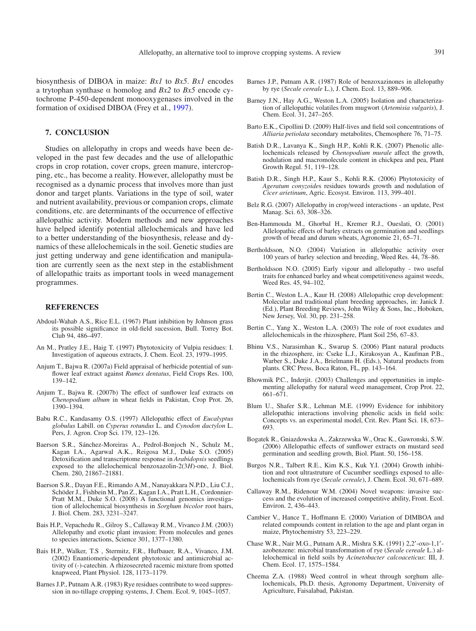biosynthesis of DIBOA in maize: *Bx1* to *Bx5*. *Bx1* encodes a trytophan synthase α homolog and *Bx2* to *Bx5* encode cytochrome P-450-dependent monooxygenases involved in the formation of oxidised DIBOA (Frey et al., 1997).

#### **7. CONCLUSION**

Studies on allelopathy in crops and weeds have been developed in the past few decades and the use of allelopathic crops in crop rotation, cover crops, green manure, intercropping, etc., has become a reality. However, allelopathy must be recognised as a dynamic process that involves more than just donor and target plants. Variations in the type of soil, water and nutrient availability, previous or companion crops, climate conditions, etc. are determinants of the occurrence of effective allelopathic activity. Modern methods and new approaches have helped identify potential allelochemicals and have led to a better understanding of the biosynthesis, release and dynamics of these allelochemicals in the soil. Genetic studies are just getting underway and gene identification and manipulation are currently seen as the next step in the establishment of allelopathic traits as important tools in weed management programmes.

#### **REFERENCES**

- Abdoul-Wahab A.S., Rice E.L. (1967) Plant inhibition by Johnson grass its possible significance in old-field sucession, Bull. Torrey Bot. Club 94, 486–497.
- An M., Pratley J.E., Haig T. (1997) Phytotoxicity of Vulpia residues: I. Investigation of aqueous extracts, J. Chem. Ecol. 23, 1979–1995.
- Anjum T., Bajwa R. (2007a) Field appraisal of herbicide potential of sunflower leaf extract against *Rumex dentatus*, Field Crops Res. 100, 139–142.
- Anjum T., Bajwa R. (2007b) The effect of sunflower leaf extracts on *Chenopodium album* in wheat fields in Pakistan, Crop Prot. 26, 1390–1394.
- Babu R.C., Kandasamy O.S. (1997) Allelopathic effect of *Eucalyptus globulus* Labill. on *Cyperus rotundus* L. and *Cynodon dactylon* L. Pers, J. Agron. Crop Sci. 179, 123–126.
- Baerson S.R., Sánchez-Moreiras A., Pedrol-Bonjoch N., Schulz M., Kagan I.A., Agarwal A.K., Reigosa M.J., Duke S.O. (2005) Detoxification and transcriptome response in *Arabidopsis* seedlings exposed to the allelochemical benzoxazolin-2(3*H*)-one, J. Biol. Chem. 280, 21867–21881.
- Baerson S.R., Dayan F.E., Rimando A.M., Nanayakkara N.P.D., Liu C.J., Schöder J., Fishbein M., Pan Z., Kagan I.A., Pratt L.H., Cordonnier-Pratt M.M., Duke S.O. (2008) A functional genomics investigation of allelochemical biosynthesis in *Sorghum bicolor* root hairs, J. Biol. Chem. 283, 3231–3247.
- Bais H.P., Vepachedu R., Gilroy S., Callaway R.M., Vivanco J.M. (2003) Allelopathy and exotic plant invasion: From molecules and genes to species interactions, Science 301, 1377–1380.
- Bais H.P., Walker, T.S , Stermitz, F.R., Hufbauer, R.A., Vivanco, J.M. (2002) Enantiomeric-dependent phytotoxic and antimicrobial activity of (-)-catechin. A rhizosecreted racemic mixture from spotted knapweed, Plant Physiol. 128, 1173–1179.
- Barnes J.P., Putnam A.R. (1983) Rye residues contribute to weed suppression in no-tillage cropping systems, J. Chem. Ecol. 9, 1045–1057.
- Barnes J.P., Putnam A.R. (1987) Role of benzoxazinones in allelopathy by rye (*Secale cereale* L.), J. Chem. Ecol. 13, 889–906.
- Barney J.N., Hay A.G., Weston L.A. (2005) Isolation and characterization of allelopathic volatiles from mugwort (*Artemisia vulgaris*), J. Chem. Ecol. 31, 247–265.
- Barto E.K., Cipollini D. (2009) Half-lives and field soil concentrations of *Alliaria petiolata* secondary metabolites, Chemosphere 76, 71–75.
- Batish D.R., Lavanya K., Singh H.P., Kohli R.K. (2007) Phenolic allelochemicals released by *Chenopodium murale* affect the growth, nodulation and macromolecule content in chickpea and pea, Plant Growth Regul. 51, 119–128.
- Batish D.R., Singh H.P., Kaur S., Kohli R.K. (2006) Phytotoxicity of *Ageratum conyzoide*s residues towards growth and nodulation of *Cicer arietinum*, Agric. Ecosyst. Environ. 113, 399–401.
- Belz R.G. (2007) Allelopathy in crop/weed interactions an update, Pest Manag. Sci. 63, 308–326.
- Ben-Hammouda M., Ghorbal H., Kremer R.J., Oueslati, O. (2001) Allelopathic effects of barley extracts on germination and seedlings growth of bread and durum wheats, Agronomie 21, 65–71.
- Bertholdsson, N.O. (2004) Variation in allelopathic activity over 100 years of barley selection and breeding, Weed Res. 44, 78–86.
- Bertholdsson N.O. (2005) Early vigour and allelopathy two useful traits for enhanced barley and wheat competitiveness against weeds, Weed Res. 45, 94–102.
- Bertin C., Weston L.A., Kaur H. (2008) Allelopathic crop development: Molecular and traditional plant breeding approaches, in: Janick J. (Ed.), Plant Breeding Reviews, John Wiley & Sons, Inc., Hoboken, New Jersey, Vol. 30, pp. 231–258.
- Bertin C., Yang X., Weston L.A. (2003) The role of root exudates and allelochemicals in the rhizosphere, Plant Soil 256, 67–83.
- Bhinu V.S., Narasimhan K., Swarup S. (2006) Plant natural products in the rhizosphere, in: Cseke L.J., Kirakosyan A., Kaufman P.B., Warber S., Duke J.A., Brielmann H. (Eds.), Natural products from plants. CRC Press, Boca Raton, FL, pp. 143–164.
- Bhowmik P.C., Inderjit. (2003) Challenges and opportunities in implementing allelopathy for natural weed management, Crop Prot. 22, 661–671.
- Blum U., Shafer S.R., Lehman M.E. (1999) Evidence for inhibitory allelopathic interactions involving phenolic acids in field soils: Concepts vs. an experimental model, Crit. Rev. Plant Sci. 18, 673– 693.
- Bogatek R., Gniazdowska A., Zakrzewska W., Orac K., Gawronski, S.W. (2006) Allelopathic effects of sunflower extracts on mustard seed germination and seedling growth, Biol. Plant. 50, 156–158.
- Burgos N.R., Talbert R.E., Kim K.S., Kuk Y.I. (2004) Growth inhibition and root ultrastruture of Cucumber seedlings exposed to allelochemicals from rye (*Secale cereale*), J. Chem. Ecol. 30, 671–689.
- Callaway R.M., Ridenour W.M. (2004) Novel weapons: invasive success and the evolution of increased competitive ability, Front. Ecol. Environ. 2, 436–443.
- Cambier V., Hance T., Hoffmann E. (2000) Variation of DIMBOA and related compounds content in relation to the age and plant organ in maize, Phytochemistry 53, 223–229.
- Chase W.R., Nair M.G., Putnam A.R., Mishra S.K. (1991) 2,2 -oxo-1,1 azobenzene: microbial transformation of rye (*Secale cereale* L.) allelochemical in field soils by *Acinetobacter calcoaceticus*: III, J. Chem. Ecol. 17, 1575–1584.
- Cheema Z.A. (1988) Weed control in wheat through sorghum allelochemicals, Ph.D. thesis, Agronomy Department, University of Agriculture, Faisalabad, Pakistan.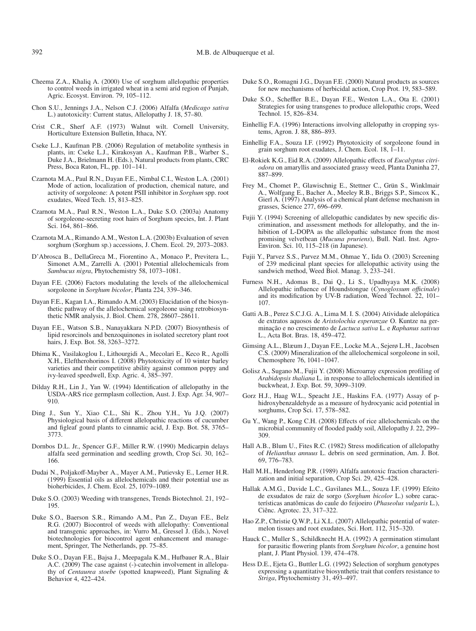- Cheema Z.A., Khaliq A. (2000) Use of sorghum allelopathic properties to control weeds in irrigated wheat in a semi arid region of Punjab, Agric. Ecosyst. Environ. 79, 105–112.
- Chon S.U., Jennings J.A., Nelson C.J. (2006) Alfalfa (*Medicago sativa* L.) autotoxicity: Current status, Allelopathy J. 18, 57–80.
- Crist C.R., Sherf A.F. (1973) Walnut wilt. Cornell University, Horticulture Extension Bulletin, Ithaca, NY.
- Cseke L.J., Kaufman P.B. (2006) Regulation of metabolite synthesis in plants, in: Cseke L.J., Kirakosyan A., Kaufman P.B., Warber S., Duke J.A., Brielmann H. (Eds.), Natural products from plants, CRC Press, Boca Raton, FL, pp. 101–141.
- Czarnota M.A., Paul R.N., Dayan F.E., Nimbal C.I., Weston L.A. (2001) Mode of action, localization of production, chemical nature, and activity of sorgoleone: A potent PSII inhibitor in *Sorghum* spp. root exudates, Weed Tech. 15, 813–825.
- Czarnota M.A., Paul R.N., Weston L.A., Duke S.O. (2003a) Anatomy of sorgoleone-secreting root hairs of Sorghum species, Int. J. Plant Sci. 164, 861–866.
- Czarnota M.A., Rimando A.M., Weston L.A. (2003b) Evaluation of seven sorghum (Sorghum sp.) accessions, J. Chem. Ecol. 29, 2073–2083.
- D'Abrosca B., DellaGreca M., Fiorentino A., Monaco P., Previtera L., Simonet A.M., Zarrelli A. (2001) Potential allelochemicals from *Sambucus nigra*, Phytochemistry 58, 1073–1081.
- Dayan F.E. (2006) Factors modulating the levels of the allelochemical sorgoleone in *Sorghum bicolor*, Planta 224, 339–346.
- Dayan F.E., Kagan I.A., Rimando A.M. (2003) Elucidation of the biosynthetic pathway of the allelochemical sorgoleone using retrobiosynthetic NMR analysis, J. Biol. Chem. 278, 28607–28611.
- Dayan F.E., Watson S.B., Nanayakkara N.P.D. (2007) Biosynthesis of lipid resorcinols and benzoquinones in isolated secretory plant root hairs, J. Exp. Bot. 58, 3263–3272.
- Dhima K., Vasilakoglou I., Lithourgidi A., Mecolari E., Keco R., Agolli X.H., Eleftherohorinos I. (2008) Phytotoxicity of 10 winter barley varieties and their competitive ability against common poppy and ivy-leaved speedwell, Exp. Agric. 4, 385–397.
- Dilday R.H., Lin J., Yan W. (1994) Identification of allelopathy in the USDA-ARS rice germplasm collection, Aust. J. Exp. Agr. 34, 907– 910.
- Ding J., Sun Y., Xiao C.L., Shi K., Zhou Y.H., Yu J.Q. (2007) Physiological basis of different allelopathic reactions of cucumber and figleaf gourd plants to cinnamic acid, J. Exp. Bot. 58, 3765– 3773.
- Dornbos D.L. Jr., Spencer G.F., Miller R.W. (1990) Medicarpin delays alfalfa seed germination and seedling growth, Crop Sci. 30, 162– 166.
- Dudai N., Poljakoff-Mayber A., Mayer A.M., Putievsky E., Lerner H.R. (1999) Essential oils as allelochemicals and their potential use as bioherbicides, J. Chem. Ecol. 25, 1079–1089.
- Duke S.O. (2003) Weeding with transgenes, Trends Biotechnol. 21, 192– 195.
- Duke S.O., Baerson S.R., Rimando A.M., Pan Z., Dayan F.E., Belz R.G. (2007) Biocontrol of weeds with allelopathy: Conventional and transgenic approaches, in: Vurro M., Gressel J. (Eds.), Novel biotechnologies for biocontrol agent enhancement and management, Springer, The Netherlands, pp. 75–85.
- Duke S.O., Dayan F.E., Bajsa J., Meepagala K.M., Hufbauer R.A., Blair A.C. (2009) The case against (-)-catechin involvement in allelopathy of *Centaurea stoebe* (spotted knapweed), Plant Signaling & Behavior 4, 422–424.
- Duke S.O., Romagni J.G., Dayan F.E. (2000) Natural products as sources for new mechanisms of herbicidal action, Crop Prot. 19, 583–589.
- Duke S.O., Scheffler B.E., Dayan F.E., Weston L.A., Ota E. (2001) Strategies for using transgenes to produce allelopathic crops, Weed Technol. 15, 826–834.
- Einhellig F.A. (1996) Interactions involving allelopathy in cropping systems, Agron. J. 88, 886–893.
- Einhellig F.A., Souza I.F. (1992) Phytotoxicity of sorgoleone found in grain sorghum root exudates, J. Chem. Ecol. 18, 1–11.
- El-Rokiek K.G., Eid R.A. (2009) Allelopathic effects of *Eucalyptus citriodora* on amaryllis and associated grassy weed, Planta Daninha 27, 887–899.
- Frey M., Chomet P., Glawischnig E., Stettner C., Grün S., Winklmair A., Wolfgang E., Bacher A., Meeley R.B., Briggs S.P., Simcox K., Gierl A. (1997) Analysis of a chemical plant defense mechanism in grasses, Science 277, 696–699.
- Fujii Y. (1994) Screening of allelopathic candidates by new specific discrimination, and assessment methods for allelopathy, and the inhibition of L-DOPA as the allelopathic substance from the most promising velvetbean (*Mucuna pruriens*), Bull. Natl. Inst. Agro-Environ. Sci. 10, 115–218 (in Japanese).
- Fujii Y., Parvez S.S., Parvez M.M., Ohmae Y., Iida O. (2003) Screening of 239 medicinal plant species for allelopathic activity using the sandwich method, Weed Biol. Manag. 3, 233–241.
- Furness N.H., Adomas B., Dai Q., Li S., Upadhyaya M.K. (2008) Allelopathic influence of Houndstongue (*Cynoglossum o*ffi*cinale*) and its modification by UV-B radiation, Weed Technol. 22, 101– 107.
- Gatti A.B., Perez S.C.J.G. A., Lima M. I. S. (2004) Atividade alelopática de extratos aquosos de *Aristolochia esperanzae* O. Kuntze na germinação e no crescimento de *Lactuca sativa* L. e *Raphanus sativus* L., Acta Bot. Bras. 18, 459–472.
- Gimsing A.L., Blæum J., Dayan F.E., Locke M.A., Sejerø L.H., Jacobsen C.S. (2009) Mineralization of the allelochemical sorgoleone in soil, Chemosphere 76, 1041–1047.
- Golisz A., Sugano M., Fujii Y. (2008) Microarray expression profiling of *Arabidopsis thaliana* L. in response to allelochemicals identified in buckwheat, J. Exp. Bot. 59, 3099–3109.
- Gorz H.J., Haag W.L., Speacht J.E., Haskins F.A. (1977) Assay of phidroxybenzaldehyde as a measure of hydrocyanic acid potential in sorghums, Crop Sci. 17, 578–582.
- Gu Y., Wang P., Kong C.H. (2008) Effects of rice allelochemicals on the microbial community of flooded paddy soil, Allelopathy J. 22, 299– 309.
- Hall A.B., Blum U., Fites R.C. (1982) Stress modification of allelopathy of *Helianthus annuus* L. debris on seed germination, Am. J. Bot. 69, 776–783.
- Hall M.H., Henderlong P.R. (1989) Alfalfa autotoxic fraction characterization and initial separation, Crop Sci. 29, 425–428.
- Hallak A.M.G., Davide L.C., Gavilanes M.L., Souza I.F. (1999) Efeito de exsudatos de raiz de sorgo (*Sorghum bicolor* L.) sobre características anatômicas do caule do feijoeiro (*Phaseolus vulgaris* L.), Ciênc. Agrotec. 23, 317–322.
- Hao Z.P., Christie Q.W.P., Li X.L. (2007) Allelopathic potential of watermelon tissues and root exudates, Sci. Hort. 112, 315–320.
- Hauck C., Muller S., Schildknecht H.A. (1992) A germination stimulant for parasitic flowering plants from *Sorghum bicolor*, a genuine host plant, J. Plant Physiol. 139, 474–478.
- Hess D.E., Ejeta G., Buttler L.G. (1992) Selection of sorghum genotypes expressing a quantitative biosynthetic trait that confers resistance to *Striga*, Phytochemistry 31, 493–497.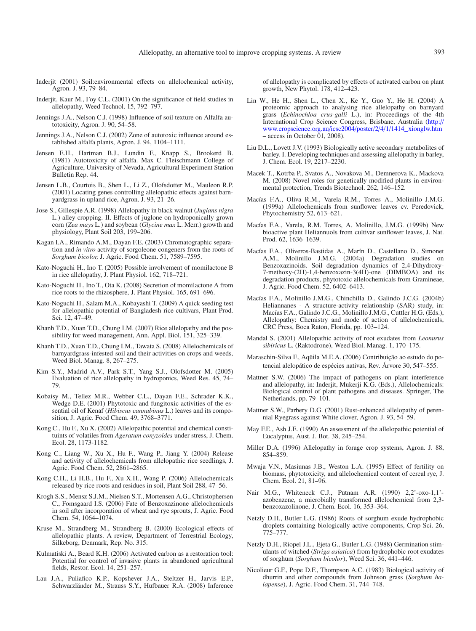- Inderjit (2001) Soil:environmental effects on allelochemical activity, Agron. J. 93, 79–84.
- Inderjit, Kaur M., Foy C.L. (2001) On the significance of field studies in allelopathy, Weed Technol. 15, 792–797.
- Jennings J.A., Nelson C.J. (1998) Influence of soil texture on Alfalfa autotoxicity, Agron. J. 90, 54–58.
- Jennings J.A., Nelson C.J. (2002) Zone of autotoxic influence around established alfalfa plants, Agron. J. 94, 1104–1111.
- Jensen E.H., Hartman B.J., Lundin F., Knapp S., Brookerd B. (1981) Autotoxicity of alfalfa. Max C. Fleischmann College of Agriculture, University of Nevada, Agricultural Experiment Station Bulletin Rep. 44.
- Jensen L.B., Courtois B., Shen L., Li Z., Olofsdotter M., Mauleon R.P. (2001) Locating genes controlling allelopathic effects against barnyardgrass in upland rice, Agron. J. 93, 21–26.
- Jose S., Gillespie A.R. (1998) Allelopathy in black walnut (*Juglans nigra* L.) alley cropping. II. Effects of juglone on hydroponically grown corn (*Zea mays* L.) and soybean (*Glycine max* L. Merr.) growth and physiology, Plant Soil 203, 199–206.
- Kagan I.A., Rimando A.M., Dayan F.E. (2003) Chromatographic separation and *in vitro* activity of sorgoleone congeners from the roots of *Sorghum bicolor,* J. Agric. Food Chem. 51, 7589–7595.
- Kato-Noguchi H., Ino T. (2005) Possible involvement of momilactone B in rice allelopathy, J. Plant Physiol. 162, 718–721.
- Kato-Noguchi H., Ino T., Ota K. (2008) Secretion of momilactone A from rice roots to the rhizosphere, J. Plant Physiol. 165, 691–696.
- Kato-Noguchi H., Salam M.A., Kobayashi T. (2009) A quick seeding test for allelopathic potential of Bangladesh rice cultivars, Plant Prod. Sci. 12, 47–49.
- Khanh T.D., Xuan T.D., Chung I.M. (2007) Rice allelopathy and the possibility for weed management, Ann. Appl. Biol. 151, 325–339.
- Khanh T.D., Xuan T.D., Chung I.M., Tawata S. (2008) Allelochemicals of barnyardgrass-infested soil and their activities on crops and weeds, Weed Biol. Manag. 8, 267–275.
- Kim S.Y., Madrid A.V., Park S.T., Yang S.J., Olofsdotter M. (2005) Evaluation of rice allelopathy in hydroponics, Weed Res. 45, 74– 79.
- Kobaisy M., Tellez M.R., Webber C.L., Dayan F.E., Schrader K.K., Wedge D.E. (2001) Phytotoxic and fungitoxic activities of the essential oil of Kenaf (*Hibiscus cannabinus* L.) leaves and its composition, J. Agric. Food Chem. 49, 3768–3771.
- Kong C., Hu F., Xu X. (2002) Allelopathic potential and chemical constituints of volatiles from *Ageratum conyzoides* under stress, J. Chem. Ecol. 28, 1173-1182.
- Kong C., Liang W., Xu X., Hu F., Wang P., Jiang Y. (2004) Release and activity of allelochemicals from allelopathic rice seedlings, J. Agric. Food Chem. 52, 2861–2865.
- Kong C.H., Li H.B., Hu F., Xu X.H., Wang P. (2006) Allelochemicals released by rice roots and residues in soil, Plant Soil 288, 47–56.
- Krogh S.S., Mensz S.J.M., Nielsen S.T., Mortensen A.G., Christophersen C., Fomsgaard I.S. (2006) Fate of Benzoxazinone allelochemicals in soil after incorporation of wheat and rye sprouts, J. Agric. Food Chem. 54, 1064–1074.
- Kruse M., Strandberg M., Strandberg B. (2000) Ecological effects of allelopathic plants. A review, Department of Terrestrial Ecology, Silkeborg, Denmark, Rep. No. 315.
- Kulmatiski A., Beard K.H. (2006) Activated carbon as a restoration tool: Potential for control of invasive plants in abandoned agricultural fields, Restor. Ecol. 14, 251–257.
- Lau J.A., Puliafico K.P., Kopshever J.A., Steltzer H., Jarvis E.P., Schwarzländer M., Strauss S.Y., Hufbauer R.A. (2008) Inference

of allelopathy is complicated by effects of activated carbon on plant growth, New Phytol. 178, 412–423.

- Lin W., He H., Shen L., Chen X., Ke Y., Guo Y., He H. (2004) A proteomic approach to analysing rice allelopathy on barnyard grass (*Echinochloa crus-galli* L.), in: Proceedings of the 4th International Crop Science Congress, Brisbane, Australia [\(http:](http://www.cropscience.org.au/icsc2004/poster/2/4/1/1414_xionglw.htm)// [www.cropscience.org.au](http://www.cropscience.org.au/icsc2004/poster/2/4/1/1414_xionglw.htm)/icsc2004/poster/2/4/1/1414\_xionglw.htm – access in October 01, 2008).
- Liu D.L., Lovett J.V. (1993) Biologically active secondary metabolites of barley. I. Developing techniques and assessing allelopathy in barley, J. Chem. Ecol. 19, 2217–2230.
- Macek T., Kotrba P., Svatos A., Novakova M., Demnerova K., Mackova M. (2008) Novel roles for genetically modified plants in environmental protection, Trends Biotechnol. 262, 146–152.
- Macías F.A., Oliva R.M., Varela R.M., Torres A., Molinillo J.M.G. (1999a) Allelochemicals from sunflower leaves cv. Peredovick, Phytochemistry 52, 613–621.
- Macías F.A., Varela, R.M. Torres, A. Molinillo, J.M.G. (1999b) New bioactive plant Heliannuols from cultivar sunflower leaves, J. Nat. Prod. 62, 1636–1639.
- Macías F.A., Oliveros-Bastidas A., Marín D., Castellano D., Simonet A.M., Molinillo J.M.G. (2004a) Degradation studies on Benzoxazinoids. Soil degradation dynamics of 2,4-Dihydroxy-7-methoxy-(2H)-1,4-benzoxazin-3(4H)-one (DIMBOA) and its degradation products, phytotoxic allelochemicals from Gramineae, J. Agric. Food Chem. 52, 6402–6413.
- Macías F.A., Molinillo J.M.G., Chinchilla D., Galindo J.C.G. (2004b) Heliannanes - A structure-activity relationship (SAR) study, in: Macías F.A., Galindo J.C.G., Molinillo J.M.G., Cuttler H.G. (Eds.), Allelopathy: Chemistry and mode of action of allelochemicals, CRC Press, Boca Raton, Florida, pp. 103–124.
- Mandal S. (2001) Allelopathic activity of root exudates from *Leonurus sibiricus* L. (Raktodrone), Weed Biol. Manag. 1, 170–175.
- Maraschin-Silva F., Aqüila M.E.A. (2006) Contribuição ao estudo do potencial alelopático de espécies nativas, Rev. Árvore 30, 547–555.
- Mattner S.W. (2006) The impact of pathogens on plant interference and allelopathy, in: Inderjit, Mukerji K.G. (Eds.), Allelochemicals: Biological control of plant pathogens and diseases. Springer, The Netherlands, pp. 79–101.
- Mattner S.W., Parbery D.G. (2001) Rust-enhanced allelopathy of perennial Ryegrass against White clover, Agron. J. 93, 54–59.
- May F.E., Ash J.E. (1990) An assessment of the allelopathic potential of Eucalyptus, Aust. J. Bot. 38, 245–254.
- Miller D.A. (1996) Allelopathy in forage crop systems, Agron. J. 88, 854–859.
- Mwaja V.N., Masiunas J.B., Weston L.A. (1995) Effect of fertility on biomass, phytotoxicity, and allelochemical content of cereal rye, J. Chem. Ecol. 21, 81–96.
- Nair M.G., Whiteneck C.J., Putnam A.R. (1990) 2,2'-oxo-1,1' azobenzene, a microbially transformed allelochemical from 2,3 benzoxazolinone, J. Chem. Ecol. 16, 353–364.
- Netzly D.H., Butler L.G. (1986) Roots of sorghum exude hydrophobic droplets containing biologically active components, Crop Sci. 26, 775–777.
- Netzly D.H., Riopel J.L., Ejeta G., Butler L.G. (1988) Germination stimulants of witched (*Striga asiatica*) from hydrophobic root exudates of sorghum (*Sorghum bicolor*), Weed Sci. 36, 441–446.
- Nicolieur G.F., Pope D.F., Thompson A.C. (1983) Biological activity of dhurrin and other compounds from Johnson grass (*Sorghum halapense*), J. Agric. Food Chem. 31, 744–748.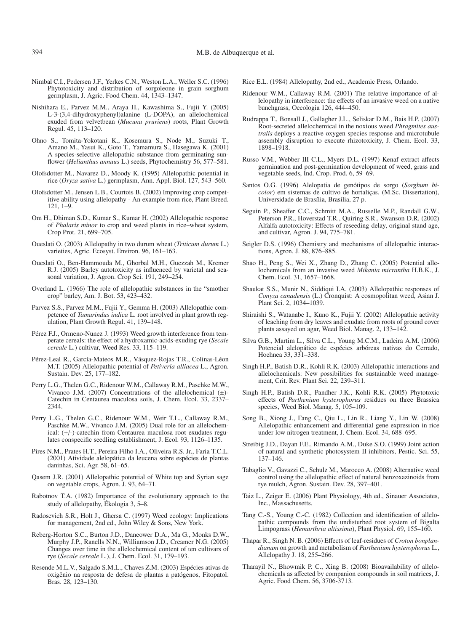- Nimbal C.I., Pedersen J.F., Yerkes C.N., Weston L.A., Weller S.C. (1996) Phytotoxicity and distribution of sorgoleone in grain sorghum germplasm, J. Agric. Food Chem. 44, 1343–1347.
- Nishihara E., Parvez M.M., Araya H., Kawashima S., Fujii Y. (2005) L-3-(3,4-dihydroxyphenyl)alanine (L-DOPA), an allelochemical exuded from velvetbean (*Mucuna pruriens*) roots, Plant Growth Regul. 45, 113–120.
- Ohno S., Tomita-Yokotani K., Kosemura S., Node M., Suzuki T., Amano M., Yasui K., Goto T., Yamamura S., Hasegawa K. (2001) A species-selective allelopathic substance from germinating sunflower (*Helianthus annuus* L.) seeds, Phytochemistry 56, 577–581.
- Olofsdotter M., Navarez D., Moody K. (1995) Allelopathic potential in rice (*Oryza sativa* L.) germplasm, Ann. Appl. Biol. 127, 543–560.
- Olofsdotter M., Jensen L.B., Courtois B. (2002) Improving crop competitive ability using allelopathy - An example from rice, Plant Breed. 121, 1–9.
- Om H., Dhiman S.D., Kumar S., Kumar H. (2002) Allelopathic response of *Phalaris minor* to crop and weed plants in rice–wheat system, Crop Prot. 21, 699–705.
- Oueslati O. (2003) Allelopathy in two durum wheat (*Triticum durum* L.) varieties, Agric. Ecosyst. Environ. 96, 161–163.
- Oueslati O., Ben-Hammouda M., Ghorbal M.H., Guezzah M., Kremer R.J. (2005) Barley autotoxicity as influenced by varietal and seasonal variation, J. Agron. Crop Sci. 191, 249–254.
- Overland L. (1966) The role of allelopathic substances in the "smother crop" barley, Am. J. Bot. 53, 423–432.
- Parvez S.S., Parvez M.M., Fujii Y., Gemma H. (2003) Allelopathic competence of *Tamarindus indica* L. root involved in plant growth regulation, Plant Growth Regul. 41, 139–148.
- Pérez F.J., Ormeno-Nunez J. (1993) Weed growth interference from temperate cereals: the effect of a hydroxamic-acids-exuding rye (*Secale cereale* L.) cultivar, Weed Res. 33, 115–119.
- Pérez-Leal R., García-Mateos M.R., Vásquez-Rojas T.R., Colinas-Léon M.T. (2005) Allelopathic potential of *Petiveria alliacea* L., Agron. Sustain. Dev. 25, 177–182.
- Perry L.G., Thelen G.C., Ridenour W.M., Callaway R.M., Paschke M.W., Vivanco J.M. (2007) Concentrations of the allelochemical  $(\pm)$ -Catechin in Centaurea maculosa soils, J. Chem. Ecol. 33, 2337– 2344.
- Perry L.G., Thelen G.C., Ridenour W.M., Weir T.L., Callaway R.M., Paschke M.W., Vivanco J.M. (2005) Dual role for an allelochemical: (+/-)-catechin from Centaurea maculosa root exudates regulates conspecific seedling establishment, J. Ecol. 93, 1126–1135.
- Pires N.M., Prates H.T., Pereira Filho I.A., Oliveira R.S. Jr., Faria T.C.L. (2001) Atividade alelopática da leucena sobre espécies de plantas daninhas, Sci. Agr. 58, 61–65.
- Qasem J.R. (2001) Allelopathic potential of White top and Syrian sage on vegetable crops, Agron. J. 93, 64–71.
- Rabotnov T.A. (1982) Importance of the evolutionary approach to the study of allelopathy, Ékologia 3, 5–8.
- Radosevich S.R., Holt J., Ghersa C. (1997) Weed ecology: Implications for management, 2nd ed., John Wiley & Sons, New York.
- Reberg-Horton S.C., Burton J.D., Daneower D.A., Ma G., Monks D.W., Murphy J.P., Ranells N.N., Williamson J.D., Creamer N.G. (2005) Changes over time in the allelochemical content of ten cultivars of rye (*Secale cereale* L.), J. Chem. Ecol. 31, 179–193.
- Resende M.L.V., Salgado S.M.L., Chaves Z.M. (2003) Espécies ativas de oxigênio na resposta de defesa de plantas a patógenos, Fitopatol. Bras. 28, 123–130.

Rice E.L. (1984) Allelopathy, 2nd ed., Academic Press, Orlando.

- Ridenour W.M., Callaway R.M. (2001) The relative importance of allelopathy in interference: the effects of an invasive weed on a native bunchgrass, Oecologia 126, 444–450.
- Rudrappa T., Bonsall J., Gallagher J.L., Seliskar D.M., Bais H.P. (2007) Root-secreted allelochemical in the noxious weed *Phragmites australis* deploys a reactive oxygen species response and microtubule assembly disruption to execute rhizotoxicity, J. Chem. Ecol. 33, 1898–1918.
- Russo V.M., Webber III C.L., Myers D.L. (1997) Kenaf extract affects germination and post-germination development of weed, grass and vegetable seeds, Ind. Crop. Prod. 6, 59–69.
- Santos O.G. (1996) Alelopatia de genótipos de sorgo (*Sorghum bicolor*) em sistemas de cultivo de hortaliças. (M.Sc. Dissertation), Universidade de Brasília, Brasília, 27 p.
- Seguin P., Sheaffer C.C., Schmitt M.A., Russelle M.P., Randall G.W., Peterson P.R., Hoverstad T.R., Quiring S.R., Swanson D.R. (2002) Alfalfa autotoxicity: Effects of reseeding delay, original stand age, and cultivar, Agron. J. 94, 775–781.
- Seigler D.S. (1996) Chemistry and mechanisms of allelopathic interactions, Agron. J. 88, 876–885.
- Shao H., Peng S., Wei X., Zhang D., Zhang C. (2005) Potential allelochemicals from an invasive weed *Mikania micrantha* H.B.K., J. Chem. Ecol. 31, 1657–1668.
- Shaukat S.S., Munir N., Siddiqui I.A. (2003) Allelopathic responses of *Conyza canadensis* (L.) Cronquist: A cosmopolitan weed, Asian J. Plant Sci. 2, 1034–1039.
- Shiraishi S., Watanabe I., Kuno K., Fujii Y. (2002) Allelopathic activity of leaching from dry leaves and exudate from roots of ground cover plants assayed on agar, Weed Biol. Manag. 2, 133–142.
- Silva G.B., Martim L., Silva C.L., Young M.C.M., Ladeira A.M. (2006) Potencial alelopático de espécies arbóreas nativas do Cerrado, Hoehnea 33, 331–338.
- Singh H.P., Batish D.R., Kohli R.K. (2003) Allelopathic interactions and allelochemicals: New possibilities for sustainable weed management, Crit. Rev. Plant Sci. 22, 239–311.
- Singh H.P., Batish D.R., Pandher J.K., Kohli R.K. (2005) Phytotoxic effects of *Parthenium hysterophorus* residues on three Brassica species, Weed Biol. Manag. 5, 105–109.
- Song B., Xiong J., Fang C., Qiu L., Lin R., Liang Y., Lin W. (2008) Allelopathic enhancement and differential gene expression in rice under low nitrogen treatment, J. Chem. Ecol. 34, 688–695.
- Streibig J.D., Dayan F.E., Rimando A.M., Duke S.O. (1999) Joint action of natural and synthetic photosystem II inhibitors, Pestic. Sci. 55, 137–146.
- Tabaglio V., Gavazzi C., Schulz M., Marocco A. (2008) Alternative weed control using the allelopathic effect of natural benzoxazinoids from rye mulch, Agron. Sustain. Dev. 28, 397–401.
- Taiz L., Zeiger E. (2006) Plant Physiology, 4th ed., Sinauer Associates, Inc., Massachusetts.
- Tang C.-S., Young C.-C. (1982) Collection and identification of allelopathic compounds from the undisturbed root system of Bigalta Limpograss (*Hemarthria altissima*), Plant Physiol. 69, 155–160.
- Thapar R., Singh N. B. (2006) Effects of leaf-residues of *Croton bonplandianum* on growth and metabolism of *Parthenium hysterophorus* L., Allelopathy J. 18, 255–266.
- Tharayil N., Bhowmik P. C., Xing B. (2008) Bioavailability of allelochemicals as affected by companion compounds in soil matrices, J. Agric. Food Chem. 56, 3706-3713.